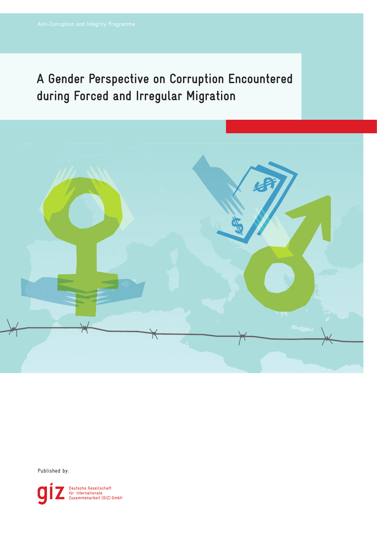# **A Gender Perspective on Corruption Encountered during Forced and Irregular Migration**



Published by:

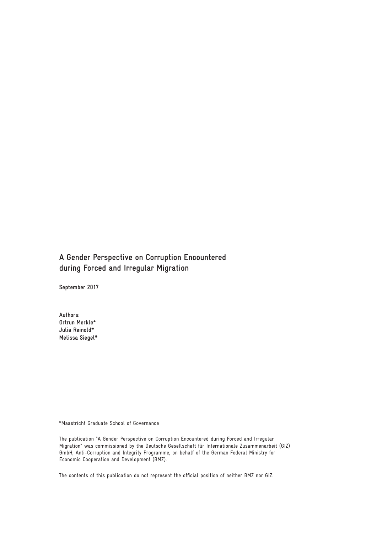# **A Gender Perspective on Corruption Encountered during Forced and Irregular Migration**

**September 2017**

**Authors: Ortrun Merkle\* Julia Reinold\* Melissa Siegel\***

\*Maastricht Graduate School of Governance

The publication "A Gender Perspective on Corruption Encountered during Forced and Irregular Migration" was commissioned by the Deutsche Gesellschaft für Internationale Zusammenarbeit (GIZ) GmbH, Anti-Corruption and Integrity Programme, on behalf of the German Federal Ministry for Economic Cooperation and Development (BMZ).

The contents of this publication do not represent the official position of neither BMZ nor GIZ.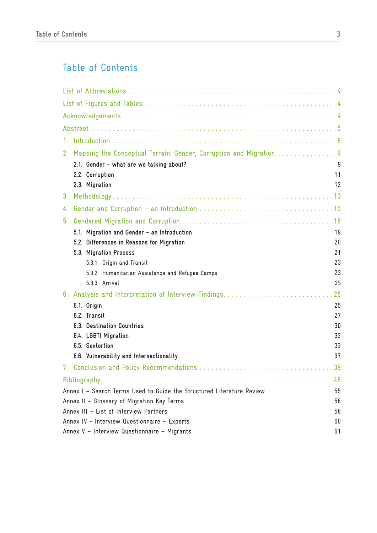# Table of Contents

| $1_{-}$                                                                   |    |
|---------------------------------------------------------------------------|----|
| Mapping the Conceptual Terrain: Gender, Corruption and Migration. 9<br>2. |    |
| 2.1. Gender - what are we talking about?                                  | 9  |
| 2.2. Corruption                                                           | 11 |
| 2.3. Migration                                                            | 12 |
| 3 <sub>1</sub>                                                            |    |
| 4.                                                                        |    |
| 5 <sub>1</sub>                                                            |    |
| 5.1. Migration and Gender - an Introduction                               | 19 |
| 5.2. Differences in Reasons for Migration                                 | 20 |
| 5.3. Migration Process                                                    | 21 |
| 5.3.1. Origin and Transit                                                 | 23 |
| 5.3.2. Humanitarian Assistance and Refugee Camps                          | 23 |
| 5.3.3. Arrival                                                            | 25 |
| 6.                                                                        | 25 |
| 6.1. Origin                                                               | 25 |
| 6.2. Transit                                                              | 27 |
| 6.3. Destination Countries                                                | 30 |
| 6.4. LGBTI Migration                                                      | 32 |
| 6.5. Sextortion                                                           | 33 |
| 6.6. Vulnerability and Intersectionality                                  | 37 |
| 7.                                                                        |    |
|                                                                           | 46 |
| Annex I - Search Terms Used to Guide the Structured Literature Review     | 55 |
| Annex II - Glossary of Migration Key Terms                                | 56 |
| Annex III - List of Interview Partners                                    | 58 |
| Annex IV - Interview Questionnaire - Experts                              | 60 |
| Annex V - Interview Questionnaire - Migrants                              | 61 |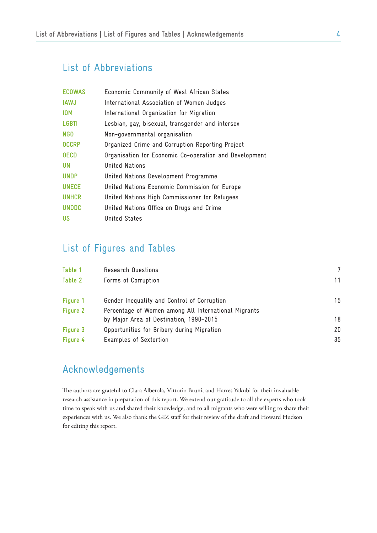# List of Abbreviations

| <b>ECOWAS</b> | Economic Community of West African States              |
|---------------|--------------------------------------------------------|
| <b>IAWJ</b>   | International Association of Women Judges              |
| <b>IOM</b>    | International Organization for Migration               |
| <b>LGBTI</b>  | Lesbian, gay, bisexual, transgender and intersex       |
| <b>NGO</b>    | Non-governmental organisation                          |
| <b>OCCRP</b>  | Organized Crime and Corruption Reporting Project       |
| <b>OECD</b>   | Organisation for Economic Co-operation and Development |
| <b>UN</b>     | United Nations                                         |
| <b>UNDP</b>   | United Nations Development Programme                   |
| <b>UNECE</b>  | United Nations Economic Commission for Europe          |
| <b>UNHCR</b>  | United Nations High Commissioner for Refugees          |
| <b>UNODC</b>  | United Nations Office on Drugs and Crime               |
| <b>US</b>     | United States                                          |

# List of Figures and Tables

| Table 1  | Research Questions                                   |    |
|----------|------------------------------------------------------|----|
| Table 2  | Forms of Corruption                                  | 11 |
| Figure 1 | Gender Inequality and Control of Corruption          | 15 |
| Figure 2 | Percentage of Women among All International Migrants |    |
|          | by Major Area of Destination, 1990-2015              | 18 |
| Figure 3 | Opportunities for Bribery during Migration           | 20 |
| Figure 4 | Examples of Sextortion                               | 35 |

# Acknowledgements

The authors are grateful to Clara Alberola, Vittorio Bruni, and Harres Yakubi for their invaluable research assistance in preparation of this report. We extend our gratitude to all the experts who took time to speak with us and shared their knowledge, and to all migrants who were willing to share their experiences with us. We also thank the GIZ staff for their review of the draft and Howard Hudson for editing this report.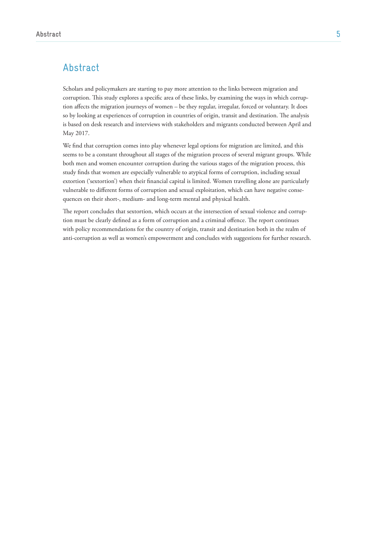# Abstract

Scholars and policymakers are starting to pay more attention to the links between migration and corruption. This study explores a specific area of these links, by examining the ways in which corruption affects the migration journeys of women – be they regular, irregular, forced or voluntary. It does so by looking at experiences of corruption in countries of origin, transit and destination. The analysis is based on desk research and interviews with stakeholders and migrants conducted between April and May 2017.

We find that corruption comes into play whenever legal options for migration are limited, and this seems to be a constant throughout all stages of the migration process of several migrant groups. While both men and women encounter corruption during the various stages of the migration process, this study finds that women are especially vulnerable to atypical forms of corruption, including sexual extortion ('sextortion') when their financial capital is limited. Women travelling alone are particularly vulnerable to different forms of corruption and sexual exploitation, which can have negative consequences on their short-, medium- and long-term mental and physical health.

The report concludes that sextortion, which occurs at the intersection of sexual violence and corruption must be clearly defined as a form of corruption and a criminal offence. The report continues with policy recommendations for the country of origin, transit and destination both in the realm of anti-corruption as well as women's empowerment and concludes with suggestions for further research.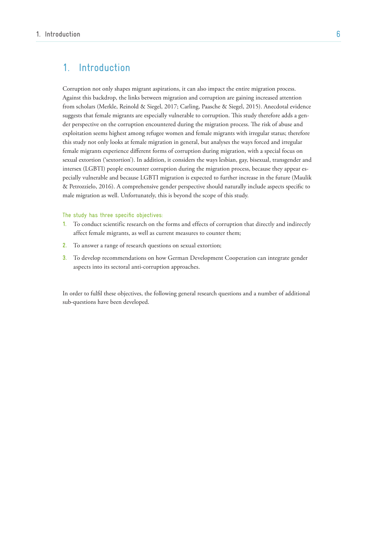# 1. Introduction

Corruption not only shapes migrant aspirations, it can also impact the entire migration process. Against this backdrop, the links between migration and corruption are gaining increased attention from scholars (Merkle, Reinold & Siegel, 2017; Carling, Paasche & Siegel, 2015). Anecdotal evidence suggests that female migrants are especially vulnerable to corruption. This study therefore adds a gender perspective on the corruption encountered during the migration process. The risk of abuse and exploitation seems highest among refugee women and female migrants with irregular status; therefore this study not only looks at female migration in general, but analyses the ways forced and irregular female migrants experience different forms of corruption during migration, with a special focus on sexual extortion ('sextortion'). In addition, it considers the ways lesbian, gay, bisexual, transgender and intersex (LGBTI) people encounter corruption during the migration process, because they appear especially vulnerable and because LGBTI migration is expected to further increase in the future (Maulik & Petrozzielo, 2016). A comprehensive gender perspective should naturally include aspects specific to male migration as well. Unfortunately, this is beyond the scope of this study.

#### The study has three specific objectives:

- **1.** To conduct scientific research on the forms and effects of corruption that directly and indirectly affect female migrants, as well as current measures to counter them;
- **2.** To answer a range of research questions on sexual extortion;
- **3.** To develop recommendations on how German Development Cooperation can integrate gender aspects into its sectoral anti-corruption approaches.

In order to fulfil these objectives, the following general research questions and a number of additional sub-questions have been developed.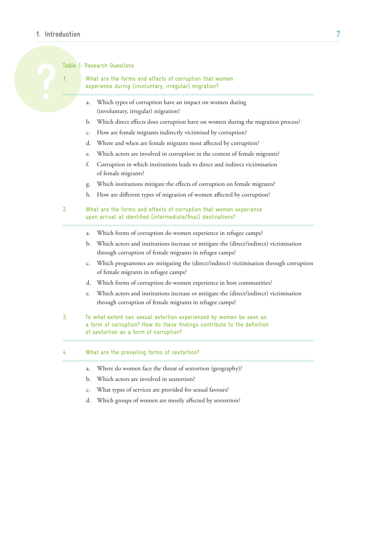# **1. Introduction** 7

Table 1: Research Questions

What are the forms and effects of corruption that women experience during (involuntary, irregular) migration?

- a. Which types of corruption have an impact on women during (involuntary, irregular) migration?
- b. Which direct effects does corruption have on women during the migration process?
- c. How are female migrants indirectly victimised by corruption?
- d. Where and when are female migrants most affected by corruption?
- e. Which actors are involved in corruption in the context of female migrants?
- f. Corruption in which institutions leads to direct and indirect victimisation of female migrants?
- g. Which institutions mitigate the effects of corruption on female migrants?
- h. How are different types of migration of women affected by corruption?
- 2. What are the forms and effects of corruption that women experience upon arrival at identified (intermediate/final) destinations?
	- a. Which forms of corruption do women experience in refugee camps?
	- b. Which actors and institutions increase or mitigate the (direct/indirect) victimisation through corruption of female migrants in refugee camps?
	- c. Which programmes are mitigating the (direct/indirect) victimisation through corruption of female migrants in refugee camps?
	- d. Which forms of corruption do women experience in host communities?
	- e. Which actors and institutions increase or mitigate the (direct/indirect) victimisation through corruption of female migrants in refugee camps?
- 3. To what extent can sexual extortion experienced by women be seen as a form of corruption? How do these findings contribute to the definition of sextortion as a form of corruption?

#### 4. What are the prevailing forms of sextortion?

- a. Where do women face the threat of sextortion (geography)?
- b. Which actors are involved in sextortion?
- c. What types of services are provided for sexual favours?
- d. Which groups of women are mostly affected by sextortion?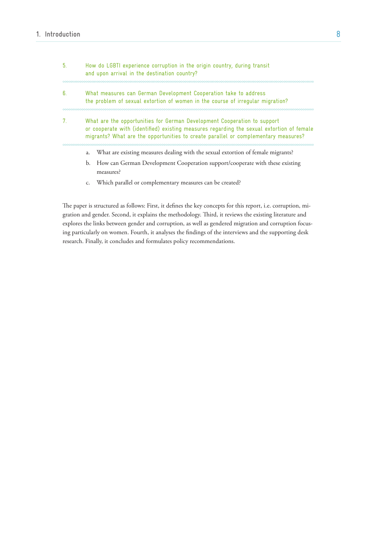| 5.             |                                                                                                                                                                                                                                                             | How do LGBTI experience corruption in the origin country, during transit<br>and upon arrival in the destination country? |
|----------------|-------------------------------------------------------------------------------------------------------------------------------------------------------------------------------------------------------------------------------------------------------------|--------------------------------------------------------------------------------------------------------------------------|
|                |                                                                                                                                                                                                                                                             |                                                                                                                          |
| 6.             | What measures can German Development Cooperation take to address<br>the problem of sexual extortion of women in the course of irregular migration?                                                                                                          |                                                                                                                          |
|                |                                                                                                                                                                                                                                                             |                                                                                                                          |
| 7 <sub>1</sub> | What are the opportunities for German Development Cooperation to support<br>or cooperate with (identified) existing measures regarding the sexual extortion of female<br>migrants? What are the opportunities to create parallel or complementary measures? |                                                                                                                          |
|                |                                                                                                                                                                                                                                                             |                                                                                                                          |
|                | a.                                                                                                                                                                                                                                                          | What are existing measures dealing with the sexual extortion of female migrants?                                         |
|                | b.                                                                                                                                                                                                                                                          | How can German Development Cooperation support/cooperate with these existing<br>measures?                                |

c. Which parallel or complementary measures can be created?

The paper is structured as follows: First, it defines the key concepts for this report, i.e. corruption, migration and gender. Second, it explains the methodology. Third, it reviews the existing literature and explores the links between gender and corruption, as well as gendered migration and corruption focusing particularly on women. Fourth, it analyses the findings of the interviews and the supporting desk research. Finally, it concludes and formulates policy recommendations.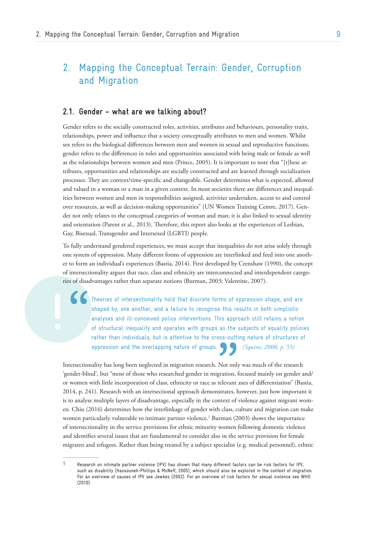# 2. Mapping the Conceptual Terrain: Gender, Corruption and Migration

# **2.1. Gender – what are we talking about?**

Gender refers to the socially constructed roles, activities, attributes and behaviours, personality traits, relationships, power and influence that a society conceptually attributes to men and women. Whilst sex refers to the biological differences between men and women in sexual and reproductive functions, gender refers to the differences in roles and opportunities associated with being male or female as well as the relationships between women and men (Prince, 2005). It is important to note that "[t]hese attributes, opportunities and relationships are socially constructed and are learned through socialization processes. They are context/time-specific and changeable. Gender determines what is expected, allowed and valued in a woman or a man in a given context. In most societies there are differences and inequalities between women and men in responsibilities assigned, activities undertaken, access to and control over resources, as well as decision-making opportunities" (UN Women Training Centre, 2017). Gender not only relates to the conceptual categories of woman and man; it is also linked to sexual identity and orientation (Parent et al., 2013). Therefore, this report also looks at the experiences of Lesbian, Gay, Bisexual, Transgender and Intersexed (LGBTI) people.

To fully understand gendered experiences, we must accept that inequalities do not arise solely through one system of oppression. Many different forms of oppression are interlinked and feed into one another to form an individual's experiences (Bastia, 2014). First developed by Crenshaw (1990), the concept of intersectionality argues that race, class and ethnicity are interconnected and interdependent categories of disadvantages rather than separate notions (Burman, 2003; Valentine, 2007).

" Theories of intersectionality hold that discrete forms of oppression shape, and are shaped by, one another, and a failure to recognise this results in both simplistic analyses and ill-conceived policy interventions. This approach still retains a notion of structural inequality and operates with groups as the subjects of equality policies rather than individuals, but is attentive to the cross-cutting nature of structures of oppression and the overlapping nature of groups. *(Squires, 2008, p. 55)*

Intersectionality has long been neglected in migration research. Not only was much of the research 'gender-blind', but "most of those who researched gender in migration, focused mainly on gender and/ or women with little incorporation of class, ethnicity or race as relevant axes of differentiation" (Bastia, 2014, p. 241). Research with an intersectional approach demonstrates, however, just how important it is to analyse multiple layers of disadvantage, especially in the context of violence against migrant women. Chiu (2016) determines how the interlinkage of gender with class, culture and migration can make women particularly vulnerable to intimate partner violence.<sup>1</sup> Burman (2003) shows the importance of intersectionality in the service provisions for ethnic minority women following domestic violence and identifies several issues that are fundamental to consider also in the service provision for female migrants and refugees. Rather than being treated by a subject specialist (e.g. medical personnel), ethnic

<sup>1</sup> Research on intimate partner violence (IPV) has shown that many different factors can be risk factors for IPV, such as disability (Hassouneh-Phillips & McNeff, 2005), which should also be explored in the context of migration. For an overview of causes of IPV see Jewkes (2002). For an overview of risk factors for sexual violence see WHO (2010).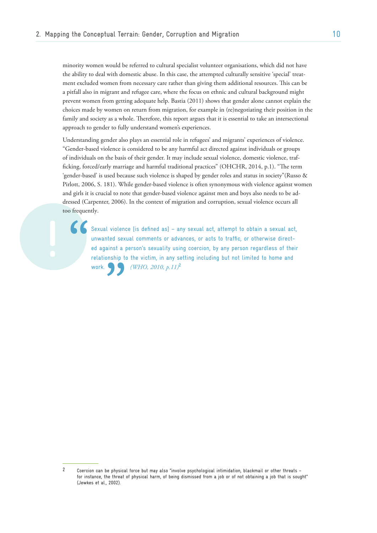minority women would be referred to cultural specialist volunteer organisations, which did not have the ability to deal with domestic abuse. In this case, the attempted culturally sensitive 'special' treatment excluded women from necessary care rather than giving them additional resources. This can be a pitfall also in migrant and refugee care, where the focus on ethnic and cultural background might prevent women from getting adequate help. Bastia (2011) shows that gender alone cannot explain the choices made by women on return from migration, for example in (re)negotiating their position in the family and society as a whole. Therefore, this report argues that it is essential to take an intersectional approach to gender to fully understand women's experiences.

Understanding gender also plays an essential role in refugees' and migrants' experiences of violence. "Gender-based violence is considered to be any harmful act directed against individuals or groups of individuals on the basis of their gender. It may include sexual violence, domestic violence, trafficking, forced/early marriage and harmful traditional practices" (OHCHR, 2014, p.1). "The term 'gender-based' is used because such violence is shaped by gender roles and status in society"(Russo & Pirlott, 2006, S. 181). While gender-based violence is often synonymous with violence against women and girls it is crucial to note that gender-based violence against men and boys also needs to be addressed (Carpenter, 2006). In the context of migration and corruption, sexual violence occurs all too frequently.

" Sexual violence [is defined as] – any sexual act, attempt to obtain a sexual act, unwanted sexual comments or advances, or acts to traffic, or otherwise directed against a person's sexuality using coercion, by any person regardless of their relationship to the victim, in any setting including but not limited to home and work. *(WHO, 2010, p.11)***<sup>2</sup>**

<sup>2</sup> Coercion can be physical force but may also "involve psychological intimidation, blackmail or other threats – for instance, the threat of physical harm, of being dismissed from a job or of not obtaining a job that is sought" (Jewkes et al., 2002).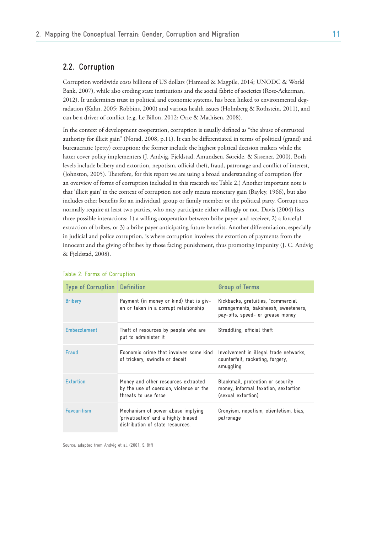# **2.2. Corruption**

Corruption worldwide costs billions of US dollars (Hameed & Magpile, 2014; UNODC & World Bank, 2007), while also eroding state institutions and the social fabric of societies (Rose-Ackerman, 2012). It undermines trust in political and economic systems, has been linked to environmental degradation (Kahn, 2005; Robbins, 2000) and various health issues (Holmberg & Rothstein, 2011), and can be a driver of conflict (e.g. Le Billon, 2012; Orre & Mathisen, 2008).

In the context of development cooperation, corruption is usually defined as "the abuse of entrusted authority for illicit gain" (Norad, 2008, p.11). It can be differentiated in terms of political (grand) and bureaucratic (petty) corruption; the former include the highest political decision makers while the latter cover policy implementers (J. Andvig, Fjeldstad, Amundsen, Søreide, & Sissener, 2000). Both levels include bribery and extortion, nepotism, official theft, fraud, patronage and conflict of interest, (Johnston, 2005). Therefore, for this report we are using a broad understanding of corruption (for an overview of forms of corruption included in this research see Table 2.) Another important note is that 'illicit gain' in the context of corruption not only means monetary gain (Bayley, 1966), but also includes other benefits for an individual, group or family member or the political party. Corrupt acts normally require at least two parties, who may participate either willingly or not. Davis (2004) lists three possible interactions: 1) a willing cooperation between bribe payer and receiver, 2) a forceful extraction of bribes, or 3) a bribe payer anticipating future benefits. Another differentiation, especially in judicial and police corruption, is where corruption involves the extortion of payments from the innocent and the giving of bribes by those facing punishment, thus promoting impunity (J. C. Andvig & Fjeldstad, 2008).

| <b>Type of Corruption Definition</b> |                                                                                                              | Group of Terms                                                                                                 |
|--------------------------------------|--------------------------------------------------------------------------------------------------------------|----------------------------------------------------------------------------------------------------------------|
| <b>Bribery</b>                       | Payment (in money or kind) that is giv-<br>en or taken in a corrupt relationship                             | Kickbacks, gratuities, "commercial<br>arrangements, baksheesh, sweeteners,<br>pay-offs, speed- or grease money |
| <b>Embezzlement</b>                  | Theft of resources by people who are<br>put to administer it                                                 | Straddling, official theft                                                                                     |
| Fraud                                | Fconomic crime that involves some kind<br>of trickery, swindle or deceit                                     | Involvement in illegal trade networks,<br>counterfeit, racketing, forgery,<br>smuggling                        |
| <b>Extortion</b>                     | Money and other resources extracted<br>by the use of coercion, violence or the<br>threats to use force       | Blackmail, protection or security<br>money, informal taxation, sextortion<br>(sexual extortion)                |
| <b>Favouritism</b>                   | Mechanism of power abuse implying<br>'privatisation' and a highly biased<br>distribution of state resources. | Cronyism, nepotism, clientelism, bias,<br>patronage                                                            |

#### Table 2: Forms of Corruption

Source: adapted from Andvig et al. (2001, S. 8ff)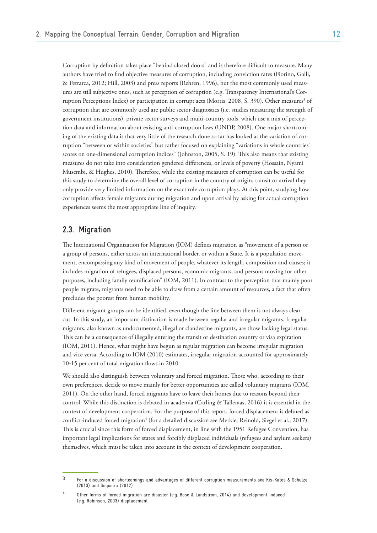Corruption by definition takes place "behind closed doors" and is therefore difficult to measure. Many authors have tried to find objective measures of corruption, including conviction rates (Fiorino, Galli, & Petrarca, 2012; Hill, 2003) and press reports (Rehren, 1996), but the most commonly used measures are still subjective ones, such as perception of corruption (e.g. Transparency International's Corruption Perceptions Index) or participation in corrupt acts (Morris, 2008, S. 390). Other measures<sup>3</sup> of corruption that are commonly used are public sector diagnostics (i.e. studies measuring the strength of government institutions), private sector surveys and multi-country tools, which use a mix of perception data and information about existing anti-corruption laws (UNDP, 2008). One major shortcoming of the existing data is that very little of the research done so far has looked at the variation of corruption "between or within societies" but rather focused on explaining "variations in whole countries' scores on one-dimensional corruption indices" (Johnston, 2005, S. 19). This also means that existing measures do not take into consideration gendered differences, or levels of poverty (Hossain, Nyami Musembi, & Hughes, 2010). Therefore, while the existing measures of corruption can be useful for this study to determine the overall level of corruption in the country of origin, transit or arrival they only provide very limited information on the exact role corruption plays. At this point, studying how corruption affects female migrants during migration and upon arrival by asking for actual corruption experiences seems the most appropriate line of inquiry.

# **2.3. Migration**

The International Organization for Migration (IOM) defines migration as "movement of a person or a group of persons, either across an international border, or within a State. It is a population movement, encompassing any kind of movement of people, whatever its length, composition and causes; it includes migration of refugees, displaced persons, economic migrants, and persons moving for other purposes, including family reunification" (IOM, 2011). In contrast to the perception that mainly poor people migrate, migrants need to be able to draw from a certain amount of resources, a fact that often precludes the poorest from human mobility.

Different migrant groups can be identified, even though the line between them is not always clearcut. In this study, an important distinction is made between regular and irregular migrants. Irregular migrants, also known as undocumented, illegal or clandestine migrants, are those lacking legal status. This can be a consequence of illegally entering the transit or destination country or visa expiration (IOM, 2011). Hence, what might have begun as regular migration can become irregular migration and vice versa. According to IOM (2010) estimates, irregular migration accounted for approximately 10-15 per cent of total migration flows in 2010.

We should also distinguish between voluntary and forced migration. Those who, according to their own preferences, decide to move mainly for better opportunities are called voluntary migrants (IOM, 2011). On the other hand, forced migrants have to leave their homes due to reasons beyond their control. While this distinction is debated in academia (Carling & Talleraas, 2016) it is essential in the context of development cooperation. For the purpose of this report, forced displacement is defined as conflict-induced forced migration<sup>4</sup> (for a detailed discussion see Merkle, Reinold, Siegel et al., 2017). This is crucial since this form of forced displacement, in line with the 1951 Refugee Convention, has important legal implications for states and forcibly displaced individuals (refugees and asylum seekers) themselves, which must be taken into account in the context of development cooperation.

<sup>3</sup> For a discussion of shortcomings and advantages of different corruption measurements see Kis-Katos & Schulze (2013) and Sequeira (2012).

<sup>4</sup> Other forms of forced migration are disaster (e.g. Bose & Lundstrom, 2014) and development-induced (e.g. Robinson, 2003) displacement.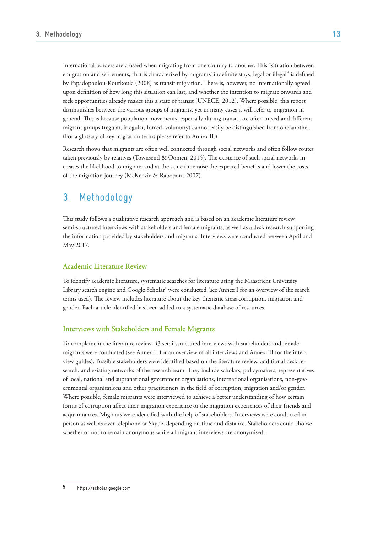International borders are crossed when migrating from one country to another. This "situation between emigration and settlements, that is characterized by migrants' indefinite stays, legal or illegal" is defined by Papadopoulou-Kourkoula (2008) as transit migration. There is, however, no internationally agreed upon definition of how long this situation can last, and whether the intention to migrate onwards and seek opportunities already makes this a state of transit (UNECE, 2012). Where possible, this report distinguishes between the various groups of migrants, yet in many cases it will refer to migration in general. This is because population movements, especially during transit, are often mixed and different migrant groups (regular, irregular, forced, voluntary) cannot easily be distinguished from one another. (For a glossary of key migration terms please refer to Annex II.)

Research shows that migrants are often well connected through social networks and often follow routes taken previously by relatives (Townsend & Oomen, 2015). The existence of such social networks increases the likelihood to migrate, and at the same time raise the expected benefits and lower the costs of the migration journey (McKenzie & Rapoport, 2007).

# 3. Methodology

This study follows a qualitative research approach and is based on an academic literature review, semi-structured interviews with stakeholders and female migrants, as well as a desk research supporting the information provided by stakeholders and migrants. Interviews were conducted between April and May 2017.

### **Academic Literature Review**

To identify academic literature, systematic searches for literature using the Maastricht University Library search engine and Google Scholar<sup>5</sup> were conducted (see Annex I for an overview of the search terms used). The review includes literature about the key thematic areas corruption, migration and gender. Each article identified has been added to a systematic database of resources.

## **Interviews with Stakeholders and Female Migrants**

To complement the literature review, 43 semi-structured interviews with stakeholders and female migrants were conducted (see Annex II for an overview of all interviews and Annex III for the interview guides). Possible stakeholders were identified based on the literature review, additional desk research, and existing networks of the research team. They include scholars, policymakers, representatives of local, national and supranational government organisations, international organisations, non-governmental organisations and other practitioners in the field of corruption, migration and/or gender. Where possible, female migrants were interviewed to achieve a better understanding of how certain forms of corruption affect their migration experience or the migration experiences of their friends and acquaintances. Migrants were identified with the help of stakeholders. Interviews were conducted in person as well as over telephone or Skype, depending on time and distance. Stakeholders could choose whether or not to remain anonymous while all migrant interviews are anonymised.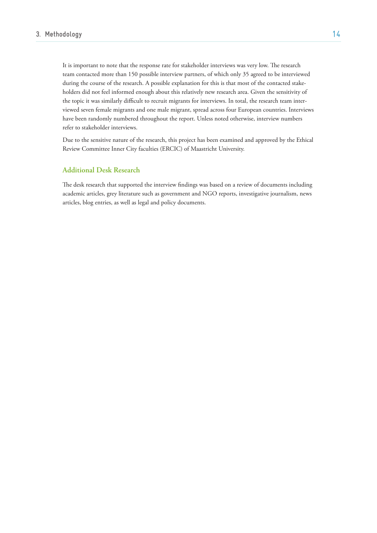It is important to note that the response rate for stakeholder interviews was very low. The research team contacted more than 150 possible interview partners, of which only 35 agreed to be interviewed during the course of the research. A possible explanation for this is that most of the contacted stakeholders did not feel informed enough about this relatively new research area. Given the sensitivity of the topic it was similarly difficult to recruit migrants for interviews. In total, the research team interviewed seven female migrants and one male migrant, spread across four European countries. Interviews have been randomly numbered throughout the report. Unless noted otherwise, interview numbers refer to stakeholder interviews.

Due to the sensitive nature of the research, this project has been examined and approved by the Ethical Review Committee Inner City faculties (ERCIC) of Maastricht University.

## **Additional Desk Research**

The desk research that supported the interview findings was based on a review of documents including academic articles, grey literature such as government and NGO reports, investigative journalism, news articles, blog entries, as well as legal and policy documents.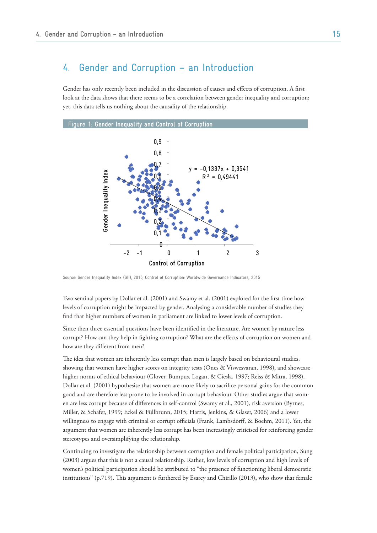# 4. Gender and Corruption – an Introduction

Gender has only recently been included in the discussion of causes and effects of corruption. A first look at the data shows that there seems to be a correlation between gender inequality and corruption; yet, this data tells us nothing about the causality of the relationship.



Source: Gender Inequality Index (GII), 2015; Control of Corruption: Worldwide Governance Indicators, 2015

Two seminal papers by Dollar et al. (2001) and Swamy et al. (2001) explored for the first time how levels of corruption might be impacted by gender. Analysing a considerable number of studies they find that higher numbers of women in parliament are linked to lower levels of corruption.

Since then three essential questions have been identified in the literature. Are women by nature less corrupt? How can they help in fighting corruption? What are the effects of corruption on women and how are they different from men?

The idea that women are inherently less corrupt than men is largely based on behavioural studies, showing that women have higher scores on integrity tests (Ones & Viswesvaran, 1998), and showcase higher norms of ethical behaviour (Glover, Bumpus, Logan, & Ciesla, 1997; Reiss & Mitra, 1998). Dollar et al. (2001) hypothesise that women are more likely to sacrifice personal gains for the common good and are therefore less prone to be involved in corrupt behaviour. Other studies argue that women are less corrupt because of differences in self-control (Swamy et al., 2001), risk aversion (Byrnes, Miller, & Schafer, 1999; Eckel & Füllbrunn, 2015; Harris, Jenkins, & Glaser, 2006) and a lower willingness to engage with criminal or corrupt officials (Frank, Lambsdorff, & Boehm, 2011). Yet, the argument that women are inherently less corrupt has been increasingly criticised for reinforcing gender stereotypes and oversimplifying the relationship.

Continuing to investigate the relationship between corruption and female political participation, Sung (2003) argues that this is not a causal relationship. Rather, low levels of corruption and high levels of women's political participation should be attributed to "the presence of functioning liberal democratic institutions" (p.719). This argument is furthered by Esarey and Chirillo (2013), who show that female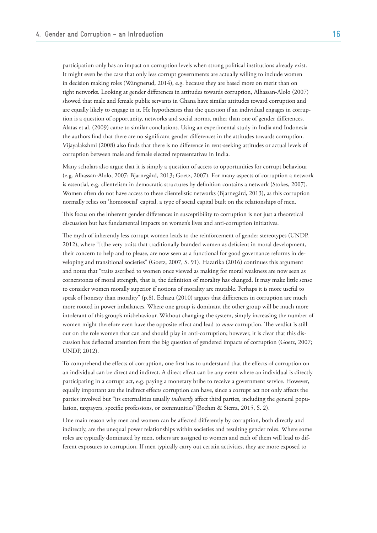participation only has an impact on corruption levels when strong political institutions already exist. It might even be the case that only less corrupt governments are actually willing to include women in decision making roles (Wängnerud, 2014), e.g. because they are based more on merit than on tight networks. Looking at gender differences in attitudes towards corruption, Alhassan-Alolo (2007) showed that male and female public servants in Ghana have similar attitudes toward corruption and are equally likely to engage in it. He hypothesises that the question if an individual engages in corruption is a question of opportunity, networks and social norms, rather than one of gender differences. Alatas et al. (2009) came to similar conclusions. Using an experimental study in India and Indonesia the authors find that there are no significant gender differences in the attitudes towards corruption. Vijayalakshmi (2008) also finds that there is no difference in rent-seeking attitudes or actual levels of corruption between male and female elected representatives in India.

Many scholars also argue that it is simply a question of access to opportunities for corrupt behaviour (e.g. Alhassan-Alolo, 2007; Bjarnegård, 2013; Goetz, 2007). For many aspects of corruption a network is essential, e.g. clientelism in democratic structures by definition contains a network (Stokes, 2007). Women often do not have access to these clientelistic networks (Bjarnegård, 2013), as this corruption normally relies on 'homosocial' capital, a type of social capital built on the relationships of men.

This focus on the inherent gender differences in susceptibility to corruption is not just a theoretical discussion but has fundamental impacts on women's lives and anti-corruption initiatives.

The myth of inherently less corrupt women leads to the reinforcement of gender stereotypes (UNDP, 2012), where "[t]he very traits that traditionally branded women as deficient in moral development, their concern to help and to please, are now seen as a functional for good governance reforms in developing and transitional societies" (Goetz, 2007, S. 91). Hazarika (2016) continues this argument and notes that "traits ascribed to women once viewed as making for moral weakness are now seen as cornerstones of moral strength, that is, the definition of morality has changed. It may make little sense to consider women morally superior if notions of morality are mutable. Perhaps it is more useful to speak of honesty than morality" (p.8). Echazu (2010) argues that differences in corruption are much more rooted in power imbalances. Where one group is dominant the other group will be much more intolerant of this group's misbehaviour. Without changing the system, simply increasing the number of women might therefore even have the opposite effect and lead to *more* corruption. The verdict is still out on the role women that can and should play in anti-corruption; however, it is clear that this discussion has deflected attention from the big question of gendered impacts of corruption (Goetz, 2007; UNDP, 2012).

To comprehend the effects of corruption, one first has to understand that the effects of corruption on an individual can be direct and indirect. A direct effect can be any event where an individual is directly participating in a corrupt act, e.g. paying a monetary bribe to receive a government service. However, equally important are the indirect effects corruption can have, since a corrupt act not only affects the parties involved but "its externalities usually *indirectly* affect third parties, including the general population, taxpayers, specific professions, or communities"(Boehm & Sierra, 2015, S. 2).

One main reason why men and women can be affected differently by corruption, both directly and indirectly, are the unequal power relationships within societies and resulting gender roles. Where some roles are typically dominated by men, others are assigned to women and each of them will lead to different exposures to corruption. If men typically carry out certain activities, they are more exposed to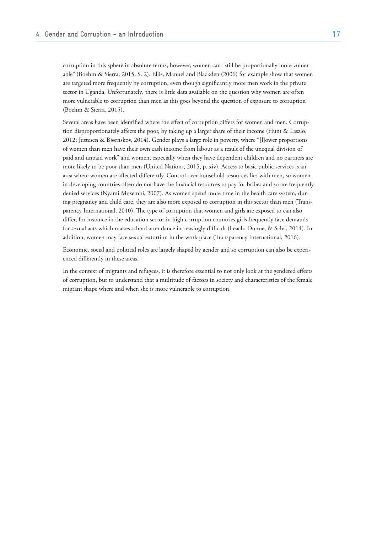corruption in this sphere in absolute terms; however, women can "still be proportionally more vulnerable" (Boehm & Sierra, 2015, S. 2). Ellis, Manuel and Blackden (2006) for example show that women are targeted more frequently by corruption, even though significantly more men work in the private sector in Uganda. Unfortunately, there is little data available on the question why women are often more vulnerable to corruption than men as this goes beyond the question of exposure to corruption (Boehm & Sierra, 2015).

Several areas have been identified where the effect of corruption differs for women and men. Corruption disproportionately affects the poor, by taking up a larger share of their income (Hunt & Laszlo, 2012; Justesen & Bjørnskov, 2014). Gender plays a large role in poverty, where "[l]ower proportions of women than men have their own cash income from labour as a result of the unequal division of paid and unpaid work" and women, especially when they have dependent children and no partners are more likely to be poor than men (United Nations, 2015, p. xiv). Access to basic public services is an area where women are affected differently. Control over household resources lies with men, so women in developing countries often do not have the financial resources to pay for bribes and so are frequently denied services (Nyami Musembi, 2007). As women spend more time in the health care system, during pregnancy and child care, they are also more exposed to corruption in this sector than men (Transparency International, 2010). The type of corruption that women and girls are exposed to can also differ, for instance in the education sector in high corruption countries girls frequently face demands for sexual acts which makes school attendance increasingly difficult (Leach, Dunne, & Salvi, 2014). In addition, women may face sexual extortion in the work place (Transparency International, 2016).

Economic, social and political roles are largely shaped by gender and so corruption can also be experienced differently in these areas.

In the context of migrants and refugees, it is therefore essential to not only look at the gendered effects of corruption, but to understand that a multitude of factors in society and characteristics of the female migrant shape where and when she is more vulnerable to corruption.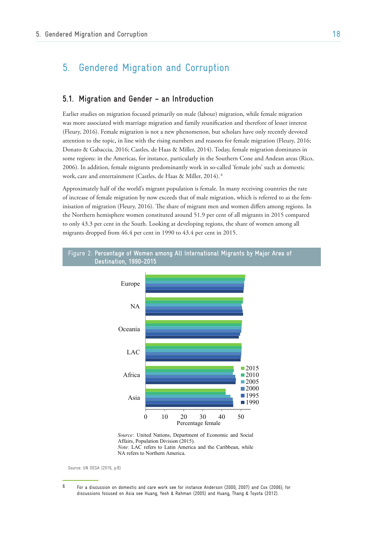# 5. Gendered Migration and Corruption

## **5.1. Migration and Gender – an Introduction**

Earlier studies on migration focused primarily on male (labour) migration, while female migration was more associated with marriage migration and family reunification and therefore of lesser interest (Fleury, 2016). Female migration is not a new phenomenon, but scholars have only recently devoted attention to the topic, in line with the rising numbers and reasons for female migration (Fleury, 2016; Donato & Gabaccia, 2016; Castles, de Haas & Miller, 2014). Today, female migration dominates in some regions: in the Americas, for instance, particularly in the Southern Cone and Andean areas (Rico, 2006). In addition, female migrants predominantly work in so-called 'female jobs' such as domestic work, care and entertainment (Castles, de Haas & Miller, 2014).  $^6$ 

Approximately half of the world's migrant population is female. In many receiving countries the rate of increase of female migration by now exceeds that of male migration, which is referred to as the femor increase or remate imgration by now exceeds that or male imgration, which is referred to as the rem-<br>inisation of migration (Fleury, 2016). The share of migrant men and women differs among regions. In the Northern hemisphere women constituted around 51.9 per cent of all migrants in 2015 compared to only 43.3 per cent in the South. Looking at developing regions, the share of women among all migrants dropped from 46.4 per cent in 1990 to 43.4 per cent in 2015.  $(\text{return}, \text{z010})$ . The share of inigrant first and women differentially Bangladesh, Oman and Qatar were among the  $\frac{1}{\sqrt{2}}$  of  $\frac{1}{\sqrt{2}}$  $\frac{10}{10}$  as the reference  $\log \text{all}$ 



*Source*: United Nations, Department of Economic and Social Affairs, Population Division (2015). *Note*: LAC refers to Latin America and the Caribbean, while NA refers to Northern America.

Source: UN DESA (2016, p.8)

 $\mathsf{in}$  and  $\mathsf{in}$  migrants were between the ages of  $\mathsf{in}$ 20 and 64 (figure I.8). Of the 177 million international migrants of working age, the

 $^6$  For a discussion on domestic and care work see for instance Anderson (2000; 2007) and Cox (2006); for discussions focused on Asia see Huang, Yeoh & Rahman (2005) and Huang, Thang & Toyota (2012).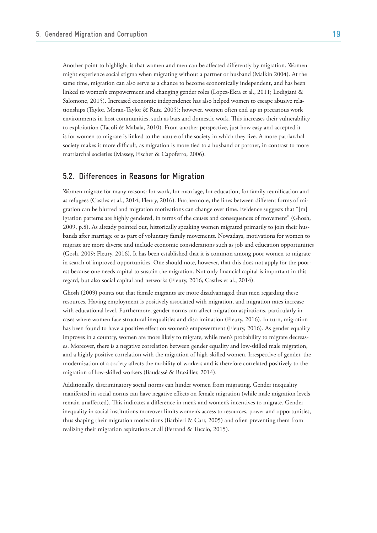Another point to highlight is that women and men can be affected differently by migration. Women might experience social stigma when migrating without a partner or husband (Malkin 2004). At the same time, migration can also serve as a chance to become economically independent, and has been linked to women's empowerment and changing gender roles (Lopez-Ekra et al., 2011; Lodigiani & Salomone, 2015). Increased economic independence has also helped women to escape abusive relationships (Taylor, Moran-Taylor & Ruiz, 2005); however, women often end up in precarious work environments in host communities, such as bars and domestic work. This increases their vulnerability to exploitation (Tacoli & Mabala, 2010). From another perspective, just how easy and accepted it is for women to migrate is linked to the nature of the society in which they live. A more patriarchal society makes it more difficult, as migration is more tied to a husband or partner, in contrast to more matriarchal societies (Massey, Fischer & Capoferro, 2006).

## **5.2. Differences in Reasons for Migration**

Women migrate for many reasons: for work, for marriage, for education, for family reunification and as refugees (Castles et al., 2014; Fleury, 2016). Furthermore, the lines between different forms of migration can be blurred and migration motivations can change over time. Evidence suggests that "[m] igration patterns are highly gendered, in terms of the causes and consequences of movement" (Ghosh, 2009, p.8). As already pointed out, historically speaking women migrated primarily to join their husbands after marriage or as part of voluntary family movements. Nowadays, motivations for women to migrate are more diverse and include economic considerations such as job and education opportunities (Gosh, 2009; Fleury, 2016). It has been established that it is common among poor women to migrate in search of improved opportunities. One should note, however, that this does not apply for the poorest because one needs capital to sustain the migration. Not only financial capital is important in this regard, but also social capital and networks (Fleury, 2016; Castles et al., 2014).

Ghosh (2009) points out that female migrants are more disadvantaged than men regarding these resources. Having employment is positively associated with migration, and migration rates increase with educational level. Furthermore, gender norms can affect migration aspirations, particularly in cases where women face structural inequalities and discrimination (Fleury, 2016). In turn, migration has been found to have a positive effect on women's empowerment (Fleury, 2016). As gender equality improves in a country, women are more likely to migrate, while men's probability to migrate decreases. Moreover, there is a negative correlation between gender equality and low-skilled male migration, and a highly positive correlation with the migration of high-skilled women. Irrespective of gender, the modernisation of a society affects the mobility of workers and is therefore correlated positively to the migration of low-skilled workers (Baudassé & Brazillier, 2014).

Additionally, discriminatory social norms can hinder women from migrating. Gender inequality manifested in social norms can have negative effects on female migration (while male migration levels remain unaffected). This indicates a difference in men's and women's incentives to migrate. Gender inequality in social institutions moreover limits women's access to resources, power and opportunities, thus shaping their migration motivations (Barbieri & Carr, 2005) and often preventing them from realizing their migration aspirations at all (Ferrand & Tuccio, 2015).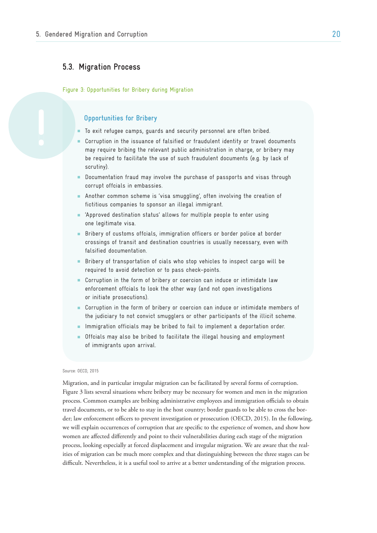## **5.3. Migration Process**

Figure 3: Opportunities for Bribery during Migration

### **Opportunities for Bribery**

- To exit refugee camps, guards and security personnel are often bribed.
- Corruption in the issuance of falsified or fraudulent identity or travel documents may require bribing the relevant public administration in charge, or bribery may be required to facilitate the use of such fraudulent documents (e.g. by lack of scrutiny).
- Documentation fraud may involve the purchase of passports and visas through corrupt offcials in embassies.
- Another common scheme is 'visa smuggling', often involving the creation of fictitious companies to sponsor an illegal immigrant.
- 'Approved destination status' allows for multiple people to enter using one legitimate visa.
- Bribery of customs offcials, immigration officers or border police at border crossings of transit and destination countries is usually necessary, even with falsified documentation.
- Bribery of transportation of cials who stop vehicles to inspect cargo will be required to avoid detection or to pass check-points.
- Corruption in the form of bribery or coercion can induce or intimidate law enforcement offcials to look the other way (and not open investigations or initiate prosecutions).
- Corruption in the form of bribery or coercion can induce or intimidate members of the judiciary to not convict smugglers or other participants of the illicit scheme.
- Immigration officials may be bribed to fail to implement a deportation order.
- Offcials may also be bribed to facilitate the illegal housing and employment of immigrants upon arrival.

#### Source: OECD, 2015

Migration, and in particular irregular migration can be facilitated by several forms of corruption. Figure 3 lists several situations where bribery may be necessary for women and men in the migration process. Common examples are bribing administrative employees and immigration officials to obtain travel documents, or to be able to stay in the host country; border guards to be able to cross the border; law enforcement officers to prevent investigation or prosecution (OECD, 2015). In the following, we will explain occurrences of corruption that are specific to the experience of women, and show how women are affected differently and point to their vulnerabilities during each stage of the migration process, looking especially at forced displacement and irregular migration. We are aware that the realities of migration can be much more complex and that distinguishing between the three stages can be difficult. Nevertheless, it is a useful tool to arrive at a better understanding of the migration process.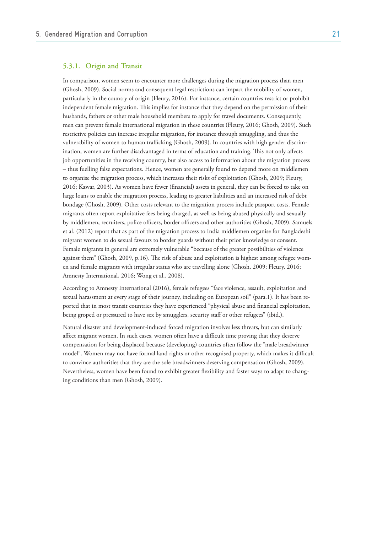### **5.3.1. Origin and Transit**

In comparison, women seem to encounter more challenges during the migration process than men (Ghosh, 2009). Social norms and consequent legal restrictions can impact the mobility of women, particularly in the country of origin (Fleury, 2016). For instance, certain countries restrict or prohibit independent female migration. This implies for instance that they depend on the permission of their husbands, fathers or other male household members to apply for travel documents. Consequently, men can prevent female international migration in these countries (Fleury, 2016; Ghosh, 2009). Such restrictive policies can increase irregular migration, for instance through smuggling, and thus the vulnerability of women to human trafficking (Ghosh, 2009). In countries with high gender discrimination, women are further disadvantaged in terms of education and training. This not only affects job opportunities in the receiving country, but also access to information about the migration process – thus fuelling false expectations. Hence, women are generally found to depend more on middlemen to organise the migration process, which increases their risks of exploitation (Ghosh, 2009; Fleury, 2016; Kawar, 2003). As women have fewer (financial) assets in general, they can be forced to take on large loans to enable the migration process, leading to greater liabilities and an increased risk of debt bondage (Ghosh, 2009). Other costs relevant to the migration process include passport costs. Female migrants often report exploitative fees being charged, as well as being abused physically and sexually by middlemen, recruiters, police officers, border officers and other authorities (Ghosh, 2009). Samuels et al. (2012) report that as part of the migration process to India middlemen organise for Bangladeshi migrant women to do sexual favours to border guards without their prior knowledge or consent. Female migrants in general are extremely vulnerable "because of the greater possibilities of violence against them" (Ghosh, 2009, p.16). The risk of abuse and exploitation is highest among refugee women and female migrants with irregular status who are travelling alone (Ghosh, 2009; Fleury, 2016; Amnesty International, 2016; Wong et al., 2008).

According to Amnesty International (2016), female refugees "face violence, assault, exploitation and sexual harassment at every stage of their journey, including on European soil" (para.1). It has been reported that in most transit countries they have experienced "physical abuse and financial exploitation, being groped or pressured to have sex by smugglers, security staff or other refugees" (ibid.).

Natural disaster and development-induced forced migration involves less threats, but can similarly affect migrant women. In such cases, women often have a difficult time proving that they deserve compensation for being displaced because (developing) countries often follow the "male breadwinner model". Women may not have formal land rights or other recognised property, which makes it difficult to convince authorities that they are the sole breadwinners deserving compensation (Ghosh, 2009). Nevertheless, women have been found to exhibit greater flexibility and faster ways to adapt to changing conditions than men (Ghosh, 2009).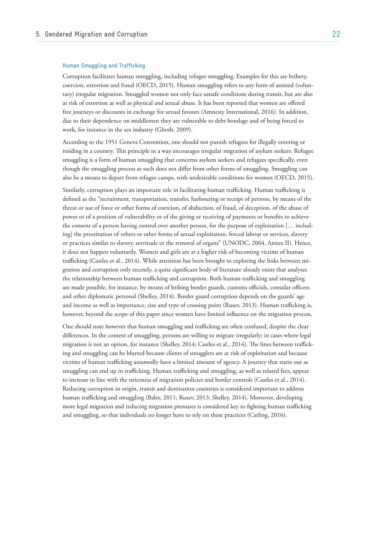#### **Human Smuggling and Trafficking**

Corruption facilitates human smuggling, including refugee smuggling. Examples for this are bribery, coercion, extortion and fraud (OECD, 2015). Human smuggling refers to any form of assisted (voluntary) irregular migration. Smuggled women not only face unsafe conditions during transit, but are also at risk of extortion as well as physical and sexual abuse. It has been reported that women are offered free journeys or discounts in exchange for sexual favours (Amnesty International, 2016). In addition, due to their dependence on middlemen they are vulnerable to debt bondage and of being forced to work, for instance in the sex industry (Ghosh, 2009).

According to the 1951 Geneva Convention, one should not punish refugees for illegally entering or residing in a country. This principle in a way encourages irregular migration of asylum seekers. Refugee smuggling is a form of human smuggling that concerns asylum seekers and refugees specifically, even though the smuggling process as such does not differ from other forms of smuggling. Smuggling can also be a means to depart from refugee camps, with undesirable conditions for women (OECD, 2015).

Similarly, corruption plays an important role in facilitating human trafficking. Human trafficking is defined as the "recruitment, transportation, transfer, harbouring or receipt of persons, by means of the threat or use of force or other forms of coercion, of abduction, of fraud, of deception, of the abuse of power or of a position of vulnerability or of the giving or receiving of payments or benefits to achieve the consent of a person having control over another person, for the purpose of exploitation [… including] the prostitution of others or other forms of sexual exploitation, forced labour or services, slavery or practices similar to slavery, servitude or the removal of organs" (UNODC, 2004, Annex II). Hence, it does not happen voluntarily. Women and girls are at a higher risk of becoming victims of human trafficking (Castles et al., 2014). While attention has been brought to exploring the links between migration and corruption only recently, a quite significant body of literature already exists that analyses the relationship between human trafficking and corruption. Both human trafficking and smuggling are made possible, for instance, by means of bribing border guards, customs officials, consular officers and other diplomatic personal (Shelley, 2014). Border guard corruption depends on the guards' age and income as well as importance, size and type of crossing point (Rusev, 2013). Human trafficking is, however, beyond the scope of this paper since women have limited influence on the migration process.

One should note however that human smuggling and trafficking are often confused, despite the clear differences. In the context of smuggling, persons are willing to migrate irregularly; in cases where legal migration is not an option, for instance (Shelley, 2014; Castles et al., 2014). The lines between trafficking and smuggling can be blurred because clients of smugglers are at risk of exploitation and because victims of human trafficking assumedly have a limited amount of agency. A journey that starts out as smuggling can end up in trafficking. Human trafficking and smuggling, as well as related fees, appear to increase in line with the strictness of migration policies and border controls (Castles et al., 2014). Reducing corruption in origin, transit and destination countries is considered important to address human trafficking and smuggling (Bales, 2011; Rusev, 2013; Shelley, 2014). Moreover, developing more legal migration and reducing migration pressures is considered key to fighting human trafficking and smuggling, so that individuals no longer have to rely on these practices (Carling, 2016).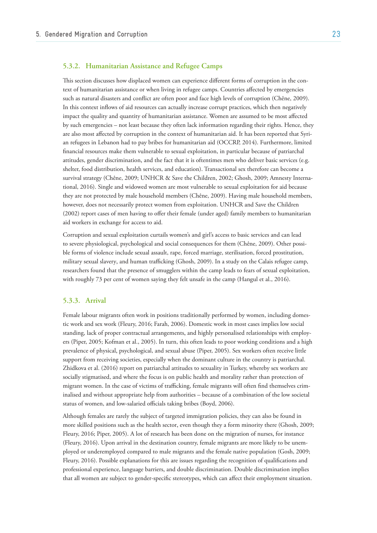### **5.3.2. Humanitarian Assistance and Refugee Camps**

This section discusses how displaced women can experience different forms of corruption in the context of humanitarian assistance or when living in refugee camps. Countries affected by emergencies such as natural disasters and conflict are often poor and face high levels of corruption (Chêne, 2009). In this context inflows of aid resources can actually increase corrupt practices, which then negatively impact the quality and quantity of humanitarian assistance. Women are assumed to be most affected by such emergencies – not least because they often lack information regarding their rights. Hence, they are also most affected by corruption in the context of humanitarian aid. It has been reported that Syrian refugees in Lebanon had to pay bribes for humanitarian aid (OCCRP, 2014). Furthermore, limited financial resources make them vulnerable to sexual exploitation, in particular because of patriarchal attitudes, gender discrimination, and the fact that it is oftentimes men who deliver basic services (e.g. shelter, food distribution, health services, and education). Transactional sex therefore can become a survival strategy (Chêne, 2009; UNHCR & Save the Children, 2002; Ghosh, 2009; Amnesty International, 2016). Single and widowed women are most vulnerable to sexual exploitation for aid because they are not protected by male household members (Chêne, 2009). Having male household members, however, does not necessarily protect women from exploitation. UNHCR and Save the Children (2002) report cases of men having to offer their female (under aged) family members to humanitarian aid workers in exchange for access to aid.

Corruption and sexual exploitation curtails women's and girl's access to basic services and can lead to severe physiological, psychological and social consequences for them (Chêne, 2009). Other possible forms of violence include sexual assault, rape, forced marriage, sterilisation, forced prostitution, military sexual slavery, and human trafficking (Ghosh, 2009). In a study on the Calais refugee camp, researchers found that the presence of smugglers within the camp leads to fears of sexual exploitation, with roughly 73 per cent of women saying they felt unsafe in the camp (Hangul et al., 2016).

### **5.3.3. Arrival**

Female labour migrants often work in positions traditionally performed by women, including domestic work and sex work (Fleury, 2016; Farah, 2006). Domestic work in most cases implies low social standing, lack of proper contractual arrangements, and highly personalised relationships with employers (Piper, 2005; Kofman et al., 2005). In turn, this often leads to poor working conditions and a high prevalence of physical, psychological, and sexual abuse (Piper, 2005). Sex workers often receive little support from receiving societies, especially when the dominant culture in the country is patriarchal. Zhidkova et al. (2016) report on patriarchal attitudes to sexuality in Turkey, whereby sex workers are socially stigmatised, and where the focus is on public health and morality rather than protection of migrant women. In the case of victims of trafficking, female migrants will often find themselves criminalised and without appropriate help from authorities – because of a combination of the low societal status of women, and low-salaried officials taking bribes (Boyd, 2006).

Although females are rarely the subject of targeted immigration policies, they can also be found in more skilled positions such as the health sector, even though they a form minority there (Ghosh, 2009; Fleury, 2016; Piper, 2005). A lot of research has been done on the migration of nurses, for instance (Fleury, 2016). Upon arrival in the destination country, female migrants are more likely to be unemployed or underemployed compared to male migrants and the female native population (Gosh, 2009; Fleury, 2016). Possible explanations for this are issues regarding the recognition of qualifications and professional experience, language barriers, and double discrimination. Double discrimination implies that all women are subject to gender-specific stereotypes, which can affect their employment situation.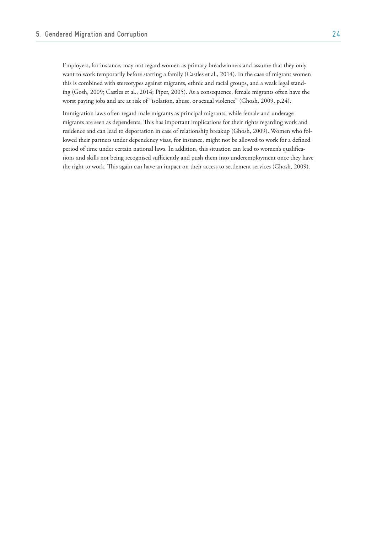Employers, for instance, may not regard women as primary breadwinners and assume that they only want to work temporarily before starting a family (Castles et al., 2014). In the case of migrant women this is combined with stereotypes against migrants, ethnic and racial groups, and a weak legal standing (Gosh, 2009; Castles et al., 2014; Piper, 2005). As a consequence, female migrants often have the worst paying jobs and are at risk of "isolation, abuse, or sexual violence" (Ghosh, 2009, p.24).

Immigration laws often regard male migrants as principal migrants, while female and underage migrants are seen as dependents. This has important implications for their rights regarding work and residence and can lead to deportation in case of relationship breakup (Ghosh, 2009). Women who followed their partners under dependency visas, for instance, might not be allowed to work for a defined period of time under certain national laws. In addition, this situation can lead to women's qualifications and skills not being recognised sufficiently and push them into underemployment once they have the right to work. This again can have an impact on their access to settlement services (Ghosh, 2009).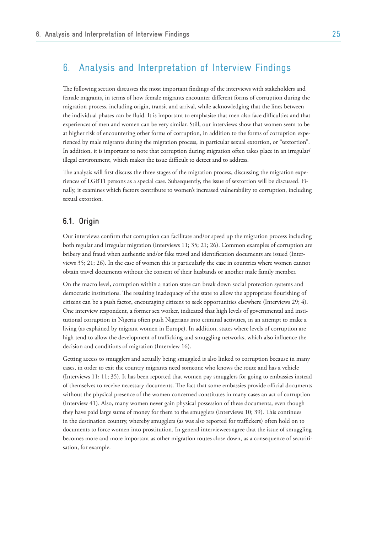# 6. Analysis and Interpretation of Interview Findings

The following section discusses the most important findings of the interviews with stakeholders and female migrants, in terms of how female migrants encounter different forms of corruption during the migration process, including origin, transit and arrival, while acknowledging that the lines between the individual phases can be fluid. It is important to emphasise that men also face difficulties and that experiences of men and women can be very similar. Still, our interviews show that women seem to be at higher risk of encountering other forms of corruption, in addition to the forms of corruption experienced by male migrants during the migration process, in particular sexual extortion, or "sextortion". In addition, it is important to note that corruption during migration often takes place in an irregular/ illegal environment, which makes the issue difficult to detect and to address.

The analysis will first discuss the three stages of the migration process, discussing the migration experiences of LGBTI persons as a special case. Subsequently, the issue of sextortion will be discussed. Finally, it examines which factors contribute to women's increased vulnerability to corruption, including sexual extortion.

# **6.1. Origin**

Our interviews confirm that corruption can facilitate and/or speed up the migration process including both regular and irregular migration (Interviews 11; 35; 21; 26). Common examples of corruption are bribery and fraud when authentic and/or fake travel and identification documents are issued (Interviews 35; 21; 26). In the case of women this is particularly the case in countries where women cannot obtain travel documents without the consent of their husbands or another male family member.

On the macro level, corruption within a nation state can break down social protection systems and democratic institutions. The resulting inadequacy of the state to allow the appropriate flourishing of citizens can be a push factor, encouraging citizens to seek opportunities elsewhere (Interviews 29; 4). One interview respondent, a former sex worker, indicated that high levels of governmental and institutional corruption in Nigeria often push Nigerians into criminal activities, in an attempt to make a living (as explained by migrant women in Europe). In addition, states where levels of corruption are high tend to allow the development of trafficking and smuggling networks, which also influence the decision and conditions of migration (Interview 16).

Getting access to smugglers and actually being smuggled is also linked to corruption because in many cases, in order to exit the country migrants need someone who knows the route and has a vehicle (Interviews 11; 11; 35). It has been reported that women pay smugglers for going to embassies instead of themselves to receive necessary documents. The fact that some embassies provide official documents without the physical presence of the women concerned constitutes in many cases an act of corruption (Interview 41). Also, many women never gain physical possession of these documents, even though they have paid large sums of money for them to the smugglers (Interviews 10; 39). This continues in the destination country, whereby smugglers (as was also reported for traffickers) often hold on to documents to force women into prostitution. In general interviewees agree that the issue of smuggling becomes more and more important as other migration routes close down, as a consequence of securitisation, for example.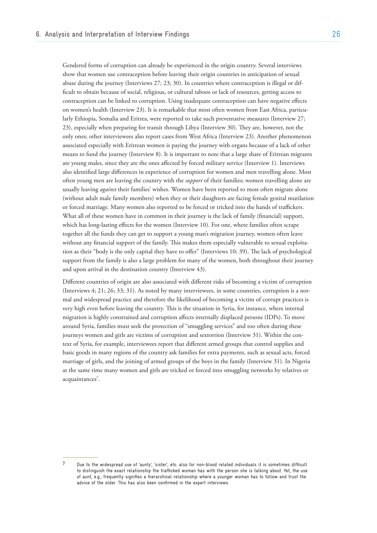Gendered forms of corruption can already be experienced in the origin country. Several interviews show that women use contraception before leaving their origin countries in anticipation of sexual abuse during the journey (Interviews 27; 23; 30). In countries where contraception is illegal or difficult to obtain because of social, religious, or cultural taboos or lack of resources, getting access to contraception can be linked to corruption. Using inadequate contraception can have negative effects on women's health (Interview 23). It is remarkable that most often women from East Africa, particularly Ethiopia, Somalia and Eritrea, were reported to take such preventative measures (Interview 27; 23), especially when preparing for transit through Libya (Interview 30). They are, however, not the only ones; other interviewees also report cases from West Africa (Interview 23). Another phenomenon associated especially with Eritrean women is paying the journey with organs because of a lack of other means to fund the journey (Interview 8). It is important to note that a large share of Eritrean migrants are young males, since they are the ones affected by forced military service (Interview 1). Interviews also identified large differences in experience of corruption for women and men travelling alone. Most often young men are leaving the country with the *support* of their families; women travelling alone are usually leaving *against* their families' wishes. Women have been reported to most often migrate alone (without adult male family members) when they or their daughters are facing female genital mutilation or forced marriage. Many women also reported to be forced or tricked into the hands of traffickers. What all of these women have in common in their journey is the lack of family (financial) support, which has long-lasting effects for the women (Interview 10). For one, where families often scrape together all the funds they can get to support a young man's migration journey, women often leave without any financial support of the family. This makes them especially vulnerable to sexual exploitation as their "body is the only capital they have to offer" (Interviews 10; 39). The lack of psychological support from the family is also a large problem for many of the women, both throughout their journey and upon arrival in the destination country (Interview 43).

Different countries of origin are also associated with different risks of becoming a victim of corruption (Interviews 4; 21; 26; 33; 31). As noted by many interviewees, in some countries, corruption is a normal and widespread practice and therefore the likelihood of becoming a victim of corrupt practices is very high even before leaving the country. This is the situation in Syria, for instance, where internal migration is highly constrained and corruption affects internally displaced persons (IDPs). To move around Syria, families must seek the protection of "smuggling services" and too often during these journeys women and girls are victims of corruption and sextortion (Interview 31). Within the context of Syria, for example, interviewees report that different armed groups that control supplies and basic goods in many regions of the country ask families for extra payments, such as sexual acts, forced marriage of girls, and the joining of armed groups of the boys in the family (Interview 31). In Nigeria at the same time many women and girls are tricked or forced into smuggling networks by relatives or acquaintances<sup>7</sup>.

<sup>7</sup> Due to the widespread use of 'aunty', 'sister', etc. also for non-blood related individuals it is sometimes difficult to distinguish the exact relationship the trafficked woman has with the person she is talking about. Yet, the use of aunt, e.g., frequently signifies a hierarchical relationship where a younger woman has to follow and trust the advice of the older. This has also been confirmed in the expert interviews.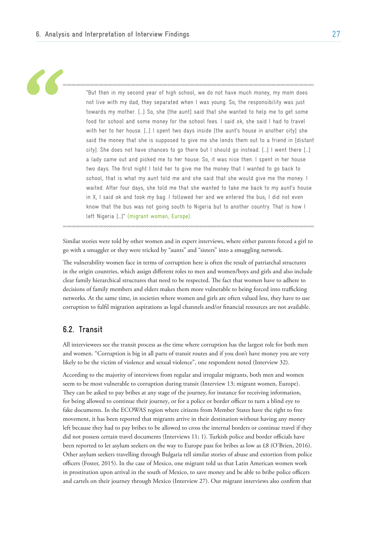

"But then in my second year of high school, we do not have much money, my mom does not live with my dad, they separated when I was young. So, the responsibility was just towards my mother. […] So, she [the aunt] said that she wanted to help me to get some food for school and some money for the school fees. I said ok, she said I had to travel with her to her house. [...] I spent two days inside [the aunt's house in another city] she said the money that she is supposed to give me she lends them out to a friend in [distant city]. She does not have chances to go there but I should go instead. […] I went there […] a lady came out and picked me to her house. So, it was nice then. I spent in her house two days. The first night I told her to give me the money that I wanted to go back to school, that is what my aunt told me and she said that she would give me the money. I waited. After four days, she told me that she wanted to take me back to my aunt's house in X, I said ok and took my bag. I followed her and we entered the bus; I did not even know that the bus was not going south to Nigeria but to another country. That is how I left Nigeria […]" (migrant woman, Europe).

Similar stories were told by other women and in expert interviews, where either parents forced a girl to go with a smuggler or they were tricked by "aunts" and "sisters" into a smuggling network.

The vulnerability women face in terms of corruption here is often the result of patriarchal structures in the origin countries, which assign different roles to men and women/boys and girls and also include clear family hierarchical structures that need to be respected. The fact that women have to adhere to decisions of family members and elders makes them more vulnerable to being forced into trafficking networks. At the same time, in societies where women and girls are often valued less, they have to use corruption to fulfil migration aspirations as legal channels and/or financial resources are not available.

# **6.2. Transit**

All interviewees see the transit process as the time where corruption has the largest role for both men and women. "Corruption is big in all parts of transit routes and if you don't have money you are very likely to be the victim of violence and sexual violence", one respondent noted (Interview 32).

According to the majority of interviews from regular and irregular migrants, both men and women seem to be most vulnerable to corruption during transit (Interview 13; migrant women, Europe). They can be asked to pay bribes at any stage of the journey, for instance for receiving information, for being allowed to continue their journey, or for a police or border officer to turn a blind eye to fake documents. In the ECOWAS region where citizens from Member States have the right to free movement, it has been reported that migrants arrive in their destination without having any money left because they had to pay bribes to be allowed to cross the internal borders or continue travel if they did not possess certain travel documents (Interviews 11; 1). Turkish police and border officials have been reported to let asylum seekers on the way to Europe pass for bribes as low as £8 (O'Brien, 2016). Other asylum seekers travelling through Bulgaria tell similar stories of abuse and extortion from police officers (Foster, 2015). In the case of Mexico, one migrant told us that Latin American women work in prostitution upon arrival in the south of Mexico, to save money and be able to bribe police officers and cartels on their journey through Mexico (Interview 27). Our migrant interviews also confirm that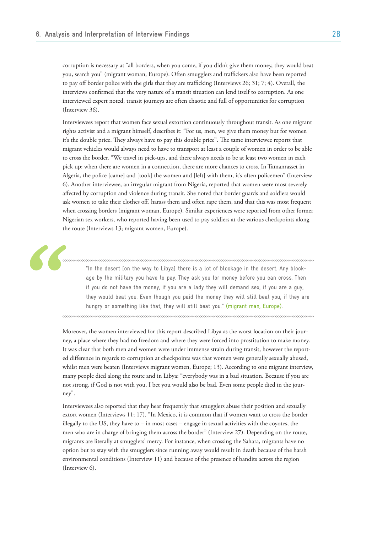corruption is necessary at "all borders, when you come, if you didn't give them money, they would beat you, search you" (migrant woman, Europe). Often smugglers and traffickers also have been reported to pay off border police with the girls that they are trafficking (Interviews 26; 31; 7; 4). Overall, the interviews confirmed that the very nature of a transit situation can lend itself to corruption. As one interviewed expert noted, transit journeys are often chaotic and full of opportunities for corruption (Interview 36).

Interviewees report that women face sexual extortion continuously throughout transit. As one migrant rights activist and a migrant himself, describes it: "For us, men, we give them money but for women it's the double price. They always have to pay this double price". The same interviewee reports that migrant vehicles would always need to have to transport at least a couple of women in order to be able to cross the border. "We travel in pick-ups, and there always needs to be at least two women in each pick up: when there are women in a connection, there are more chances to cross. In Tamanrasset in Algeria, the police [came] and [took] the women and [left] with them, it's often policemen" (Interview 6). Another interviewee, an irregular migrant from Nigeria, reported that women were most severely affected by corruption and violence during transit. She noted that border guards and soldiers would ask women to take their clothes off, harass them and often rape them, and that this was most frequent when crossing borders (migrant woman, Europe). Similar experiences were reported from other former Nigerian sex workers, who reported having been used to pay soldiers at the various checkpoints along the route (Interviews 13; migrant women, Europe).



"In the desert [on the way to Libya] there is a lot of blockage in the desert. Any blockage by the military you have to pay. They ask you for money before you can cross. Then if you do not have the money, if you are a lady they will demand sex, if you are a guy, they would beat you. Even though you paid the money they will still beat you, if they are hungry or something like that, they will still beat you." (migrant man, Europe).

Moreover, the women interviewed for this report described Libya as the worst location on their journey, a place where they had no freedom and where they were forced into prostitution to make money. It was clear that both men and women were under immense strain during transit, however the reported difference in regards to corruption at checkpoints was that women were generally sexually abused, whilst men were beaten (Interviews migrant women, Europe; 13). According to one migrant interview, many people died along the route and in Libya: "everybody was in a bad situation. Because if you are not strong, if God is not with you, I bet you would also be bad. Even some people died in the journey".

Interviewees also reported that they hear frequently that smugglers abuse their position and sexually extort women (Interviews 11; 17). "In Mexico, it is common that if women want to cross the border illegally to the US, they have to  $-$  in most cases  $-$  engage in sexual activities with the coyotes, the men who are in charge of bringing them across the border" (Interview 27). Depending on the route, migrants are literally at smugglers' mercy. For instance, when crossing the Sahara, migrants have no option but to stay with the smugglers since running away would result in death because of the harsh environmental conditions (Interview 11) and because of the presence of bandits across the region (Interview 6).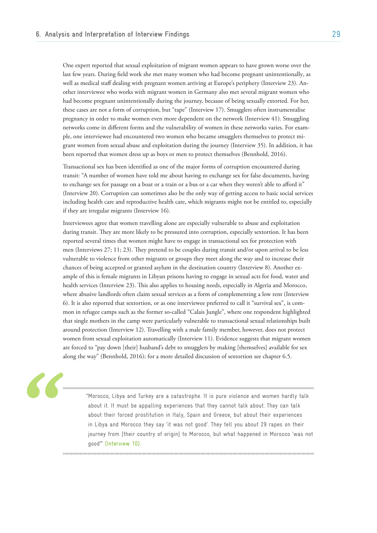One expert reported that sexual exploitation of migrant women appears to have grown worse over the last few years. During field work she met many women who had become pregnant unintentionally, as well as medical staff dealing with pregnant women arriving at Europe's periphery (Interview 23). Another interviewee who works with migrant women in Germany also met several migrant women who had become pregnant unintentionally during the journey, because of being sexually extorted. For her, these cases are not a form of corruption, but "rape" (Interview 17). Smugglers often instrumentalise pregnancy in order to make women even more dependent on the network (Interview 41). Smuggling networks come in different forms and the vulnerability of women in these networks varies. For example, one interviewee had encountered two women who became smugglers themselves to protect migrant women from sexual abuse and exploitation during the journey (Interview 35). In addition, it has been reported that women dress up as boys or men to protect themselves (Bennhold, 2016).

Transactional sex has been identified as one of the major forms of corruption encountered during transit: "A number of women have told me about having to exchange sex for false documents, having to exchange sex for passage on a boat or a train or a bus or a car when they weren't able to afford it" (Interview 20). Corruption can sometimes also be the only way of getting access to basic social services including health care and reproductive health care, which migrants might not be entitled to, especially if they are irregular migrants (Interview 16).

Interviewees agree that women travelling alone are especially vulnerable to abuse and exploitation during transit. They are more likely to be pressured into corruption, especially sextortion. It has been reported several times that women might have to engage in transactional sex for protection with men (Interviews 27; 11; 23). They pretend to be couples during transit and/or upon arrival to be less vulnerable to violence from other migrants or groups they meet along the way and to increase their chances of being accepted or granted asylum in the destination country (Interview 8). Another example of this is female migrants in Libyan prisons having to engage in sexual acts for food, water and health services (Interview 23). This also applies to housing needs, especially in Algeria and Morocco, where abusive landlords often claim sexual services as a form of complementing a low rent (Interview 6). It is also reported that sextortion, or as one interviewee preferred to call it "survival sex", is common in refugee camps such as the former so-called "Calais Jungle", where one respondent highlighted that single mothers in the camp were particularly vulnerable to transactional sexual relationships built around protection (Interview 12). Travelling with a male family member, however, does not protect women from sexual exploitation automatically (Interview 11). Evidence suggests that migrant women are forced to "pay down [their] husband's debt to smugglers by making [themselves] available for sex along the way" (Bennhold, 2016); for a more detailed discussion of sextortion see chapter 6.5.



"Morocco, Libya and Turkey are a catastrophe. It is pure violence and women hardly talk about it. It must be appalling experiences that they cannot talk about. They can talk about their forced prostitution in Italy, Spain and Greece, but about their experiences in Libya and Morocco they say 'it was not good'. They tell you about 29 rapes on their journey from [their country of origin] to Morocco, but what happened in Morocco 'was not good'" (Interview 10).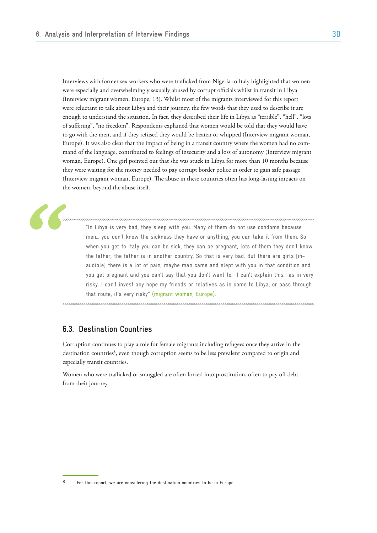Interviews with former sex workers who were trafficked from Nigeria to Italy highlighted that women were especially and overwhelmingly sexually abused by corrupt officials whilst in transit in Libya (Interview migrant women, Europe; 13). Whilst most of the migrants interviewed for this report were reluctant to talk about Libya and their journey, the few words that they used to describe it are enough to understand the situation. In fact, they described their life in Libya as "terrible", "hell", "lots of suffering", "no freedom". Respondents explained that women would be told that they would have to go with the men, and if they refused they would be beaten or whipped (Interview migrant woman, Europe). It was also clear that the impact of being in a transit country where the women had no command of the language, contributed to feelings of insecurity and a loss of autonomy (Interview migrant woman, Europe). One girl pointed out that she was stuck in Libya for more than 10 months because they were waiting for the money needed to pay corrupt border police in order to gain safe passage (Interview migrant woman, Europe). The abuse in these countries often has long-lasting impacts on the women, beyond the abuse itself.

"In Libya is very bad, they sleep with you. Many of them do not use condoms because men… you don't know the sickness they have or anything, you can take it from them. So when you get to Italy you can be sick, they can be pregnant, lots of them they don't know the father, the father is in another country. So that is very bad. But there are girls [inaudible] there is a lot of pain, maybe man came and slept with you in that condition and you get pregnant and you can't say that you don't want to… I can't explain this… as in very risky. I can't invest any hope my friends or relatives as in come to Libya, or pass through that route, it's very risky" (migrant woman, Europe).

# **6.3. Destination Countries**

Corruption continues to play a role for female migrants including refugees once they arrive in the destination countries<sup>8</sup>, even though corruption seems to be less prevalent compared to origin and especially transit countries.

Women who were trafficked or smuggled are often forced into prostitution, often to pay off debt from their journey.

 $8$  For this report, we are considering the destination countries to be in Europe.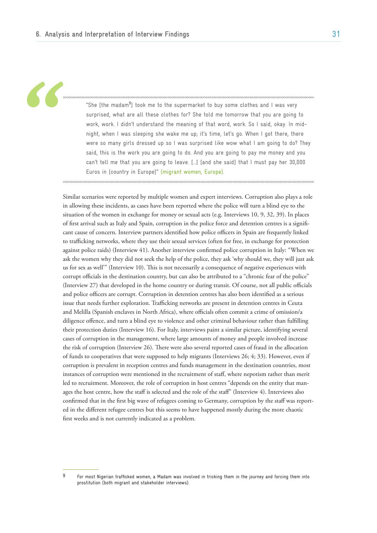"She [the madam**<sup>9</sup>** ] took me to the supermarket to buy some clothes and I was very surprised, what are all these clothes for? She told me tomorrow that you are going to work, work. I didn't understand the meaning of that word, work. So I said, okay. In midnight, when I was sleeping she wake me up; it's time, let's go. When I got there, there were so many girls dressed up so I was surprised like wow what I am going to do? They said, this is the work you are going to do. And you are going to pay me money and you can't tell me that you are going to leave. […] [and she said] that I must pay her 30,000

Euros in [country in Europe]" (migrant women, Europe).

Similar scenarios were reported by multiple women and expert interviews. Corruption also plays a role in allowing these incidents, as cases have been reported where the police will turn a blind eye to the situation of the women in exchange for money or sexual acts (e.g. Interviews 10, 9, 32, 39). In places of first arrival such as Italy and Spain, corruption in the police force and detention centres is a significant cause of concern. Interview partners identified how police officers in Spain are frequently linked to trafficking networks, where they use their sexual services (often for free, in exchange for protection against police raids) (Interview 41). Another interview confirmed police corruption in Italy: "When we ask the women why they did not seek the help of the police, they ask 'why should we, they will just ask us for sex as well'" (Interview 10). This is not necessarily a consequence of negative experiences with corrupt officials in the destination country, but can also be attributed to a "chronic fear of the police" (Interview 27) that developed in the home country or during transit. Of course, not all public officials and police officers are corrupt. Corruption in detention centres has also been identified as a serious issue that needs further exploration. Trafficking networks are present in detention centres in Ceuta and Melilla (Spanish enclaves in North Africa), where officials often commit a crime of omission/a diligence offence, and turn a blind eye to violence and other criminal behaviour rather than fulfilling their protection duties (Interview 16). For Italy, interviews paint a similar picture, identifying several cases of corruption in the management, where large amounts of money and people involved increase the risk of corruption (Interview 26). There were also several reported cases of fraud in the allocation of funds to cooperatives that were supposed to help migrants (Interviews 26; 4; 33). However, even if corruption is prevalent in reception centres and funds management in the destination countries, most instances of corruption were mentioned in the recruitment of staff, where nepotism rather than merit led to recruitment. Moreover, the role of corruption in host centres "depends on the entity that manages the host centre, how the staff is selected and the role of the staff" (Interview 4). Interviews also confirmed that in the first big wave of refugees coming to Germany, corruption by the staff was reported in the different refugee centres but this seems to have happened mostly during the more chaotic first weeks and is not currently indicated as a problem.

<sup>9</sup> For most Nigerian trafficked women, a Madam was involved in tricking them in the journey and forcing them into prostitution (both migrant and stakeholder interviews).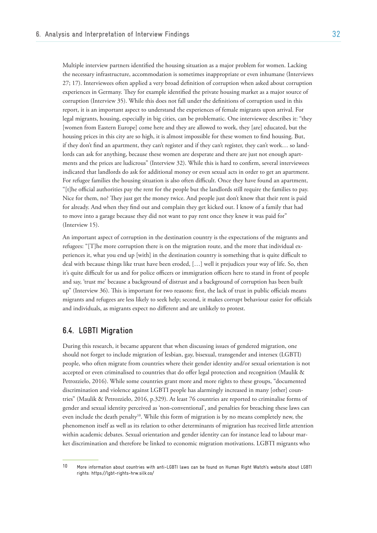Multiple interview partners identified the housing situation as a major problem for women. Lacking the necessary infrastructure, accommodation is sometimes inappropriate or even inhumane (Interviews 27; 17). Interviewees often applied a very broad definition of corruption when asked about corruption experiences in Germany. They for example identified the private housing market as a major source of corruption (Interview 35). While this does not fall under the definitions of corruption used in this report, it is an important aspect to understand the experiences of female migrants upon arrival. For legal migrants, housing, especially in big cities, can be problematic. One interviewee describes it: "they [women from Eastern Europe] come here and they are allowed to work, they [are] educated, but the housing prices in this city are so high, it is almost impossible for these women to find housing. But, if they don't find an apartment, they can't register and if they can't register, they can't work… so landlords can ask for anything, because these women are desperate and there are just not enough apartments and the prices are ludicrous" (Interview 32). While this is hard to confirm, several interviewees indicated that landlords do ask for additional money or even sexual acts in order to get an apartment. For refugee families the housing situation is also often difficult. Once they have found an apartment, "[t]he official authorities pay the rent for the people but the landlords still require the families to pay. Nice for them, no? They just get the money twice. And people just don't know that their rent is paid for already. And when they find out and complain they get kicked out. I know of a family that had to move into a garage because they did not want to pay rent once they knew it was paid for" (Interview 15).

An important aspect of corruption in the destination country is the expectations of the migrants and refugees: "[T]he more corruption there is on the migration route, and the more that individual experiences it, what you end up [with] in the destination country is something that is quite difficult to deal with because things like trust have been eroded, […] well it prejudices your way of life. So, then it's quite difficult for us and for police officers or immigration officers here to stand in front of people and say, 'trust me' because a background of distrust and a background of corruption has been built up" (Interview 36). This is important for two reasons: first, the lack of trust in public officials means migrants and refugees are less likely to seek help; second, it makes corrupt behaviour easier for officials and individuals, as migrants expect no different and are unlikely to protest.

# **6.4. LGBTI Migration**

During this research, it became apparent that when discussing issues of gendered migration, one should not forget to include migration of lesbian, gay, bisexual, transgender and intersex (LGBTI) people, who often migrate from countries where their gender identity and/or sexual orientation is not accepted or even criminalised to countries that do offer legal protection and recognition (Maulik & Petrozzielo, 2016). While some countries grant more and more rights to these groups, "documented discrimination and violence against LGBTI people has alarmingly increased in many [other] countries" (Maulik & Petrozzielo, 2016, p.329). At least 76 countries are reported to criminalise forms of gender and sexual identity perceived as 'non-conventional', and penalties for breaching these laws can even include the death penalty<sup>10</sup>. While this form of migration is by no means completely new, the phenomenon itself as well as its relation to other determinants of migration has received little attention within academic debates. Sexual orientation and gender identity can for instance lead to labour market discrimination and therefore be linked to economic migration motivations. LGBTI migrants who

<sup>10</sup> More information about countries with anti-LGBTI laws can be found on Human Right Watch's website about LGBTI rights: https://lgbt-rights-hrw.silk.co/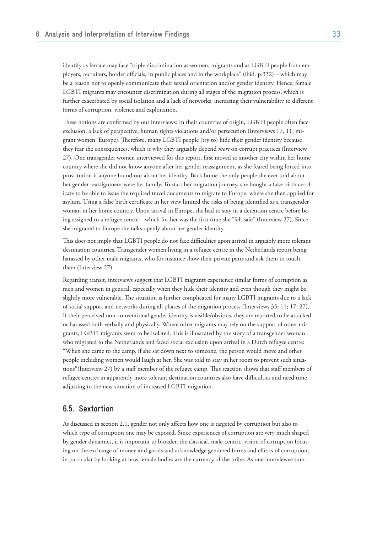identify as female may face "triple discrimination as women, migrants and as LGBTI people from employers, recruiters, border officials, in public places and in the workplace" (ibid. p.332) – which may be a reason not to openly communicate their sexual orientation and/or gender identity. Hence, female LGBTI migrants may encounter discrimination during all stages of the migration process, which is further exacerbated by social isolation and a lack of networks, increasing their vulnerability to different forms of corruption, violence and exploitation.

These notions are confirmed by our interviews: In their countries of origin, LGBTI people often face exclusion, a lack of perspective, human rights violations and/or persecution (Interviews 17, 11; migrant women, Europe). Therefore, many LGBTI people (try to) hide their gender identity because they fear the consequences, which is why they arguably depend *more* on corrupt practices (Interview 27). One transgender women interviewed for this report, first moved to another city within her home country where she did not know anyone after her gender reassignment, as she feared being forced into prostitution if anyone found out about her identity. Back home the only people she ever told about her gender reassignment were her family. To start her migration journey, she bought a fake birth certificate to be able to issue the required travel documents to migrate to Europe, where she then applied for asylum. Using a false birth certificate in her view limited the risks of being identified as a transgender woman in her home country. Upon arrival in Europe, she had to stay in a detention centre before being assigned to a refugee centre – which for her was the first time she "felt safe" (Interview 27). Since she migrated to Europe she talks openly about her gender identity.

This does not imply that LGBTI people do not face difficulties upon arrival in arguably more tolerant destination countries. Transgender women living in a refugee centre in the Netherlands report being harassed by other male migrants, who for instance show their private parts and ask them to touch them (Interview 27).

Regarding transit, interviews suggest that LGBTI migrants experience similar forms of corruption as men and women in general, especially when they hide their identity and even though they might be slightly more vulnerable. The situation is further complicated for many LGBTI migrants due to a lack of social support and networks during all phases of the migration process (Interviews 35; 11; 17; 27). If their perceived non-conventional gender identity is visible/obvious, they are reported to be attacked or harassed both verbally and physically. Where other migrants may rely on the support of other migrants, LGBTI migrants seem to be isolated. This is illustrated by the story of a transgender woman who migrated to the Netherlands and faced social exclusion upon arrival in a Dutch refugee centre: "When she came to the camp, if she sat down next to someone, the person would move and other people including women would laugh at her. She was told to stay in her room to prevent such situations"(Interview 27) by a staff member of the refugee camp. This reaction shows that staff members of refugee centres in apparently more tolerant destination countries also have difficulties and need time adjusting to the new situation of increased LGBTI migration.

### **6.5. Sextortion**

As discussed in section 2.1, gender not only affects how one is targeted by corruption but also to which type of corruption one may be exposed. Since experiences of corruption are very much shaped by gender dynamics, it is important to broaden the classical, male-centric, vision of corruption focusing on the exchange of money and goods and acknowledge gendered forms and effects of corruption, in particular by looking at how female bodies are the currency of the bribe. As one interviewee sum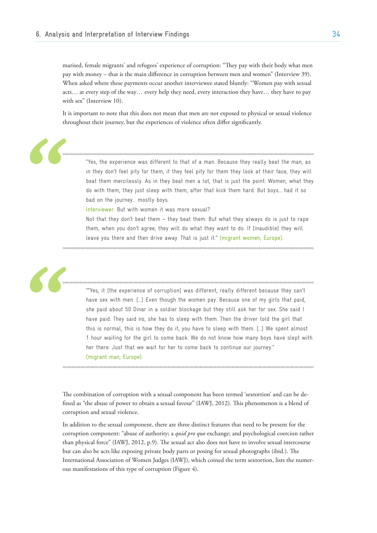marised, female migrants' and refugees' experience of corruption: "They pay with their body what men pay with money – that is the main difference in corruption between men and women" (Interview 39). When asked where these payments occur another interviewee stated bluntly: "Women pay with sexual acts… at every step of the way… every help they need, every interaction they have… they have to pay with sex" (Interview 10).

It is important to note that this does not mean that men are not exposed to physical or sexual violence throughout their journey, but the experiences of violence often differ significantly.

"Yes, the experience was different to that of a man. Because they really beat the man, as in they don't feel pity for them, if they feel pity for them they look at their face, they will beat them mercilessly. As in they beat men a lot, that is just the point. Women, what they do with them, they just sleep with them, after that kick them hard. But boys… had it so bad on the journey… mostly boys.

Interviewer: But with women it was more sexual?

Not that they don't beat them – they beat them. But what they always do is just to rape them, when you don't agree, they will do what they want to do. If [inaudible] they will leave you there and then drive away. That is just it." (migrant women, Europe).

""Yes, it [the experience of corruption] was different, really different because they can't have sex with men. [...] Even though the women pay. Because one of my girls that paid, she paid about 50 Dinar in a soldier blockage but they still ask her for sex. She said I have paid. They said no, she has to sleep with them. Then the driver told the girl that this is normal, this is how they do it, you have to sleep with them. […] We spent almost 1 hour waiting for the girl to come back. We do not know how many boys have slept with her there. Just that we wait for her to come back to continue our journey." (migrant man, Europe).

The combination of corruption with a sexual component has been termed 'sextortion' and can be defined as "the abuse of power to obtain a sexual favour'' (IAWJ, 2012). This phenomenon is a blend of corruption and sexual violence.

In addition to the sexual component, there are three distinct features that need to be present for the corruption component: "abuse of authority; a *quid pro quo* exchange; and psychological coercion rather than physical force" (IAWJ, 2012, p.9). The sexual act also does not have to involve sexual intercourse but can also be acts like exposing private body parts or posing for sexual photographs (ibid.). The International Association of Women Judges (IAWJ), which coined the term sextortion, lists the numerous manifestations of this type of corruption (Figure 4).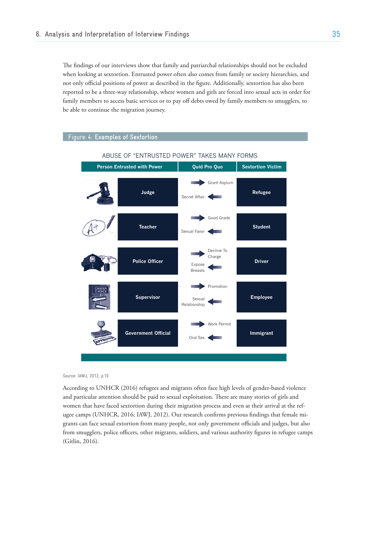The findings of our interviews show that family and patriarchal relationships should not be excluded when looking at sextortion. Entrusted power often also comes from family or society hierarchies, and not only official positions of power as described in the figure. Additionally, sextortion has also been reported to be a three-way relationship, where women and girls are forced into sexual acts in order for family members to access basic services or to pay off debts owed by family members to smugglers, to In the properties of entrusted power scope of entrusted power scope of proper scope of professional responsibility,  $\frac{1}{2}$ to community experience than by laws of the community experience to regulations. All of the server, see  $\mu$ 



Source: IAWJ, 2012, p.10

and particular attention should be paid to sexual exploitation. There are many stories of girls and According to UNHCR (2016) refugees and migrants often face high levels of gender-based violence women that have faced sextortion during their migration process and even at their arrival at the refugee camps (UNHCR, 2016; IAWJ, 2012). Our research confirms previous findings that female migrants can face sexual extortion from many people, not only government officials and judges, but also from smugglers, police officers, other migrants, soldiers, and various authority figures in refugee camps (Gitlin, 2016).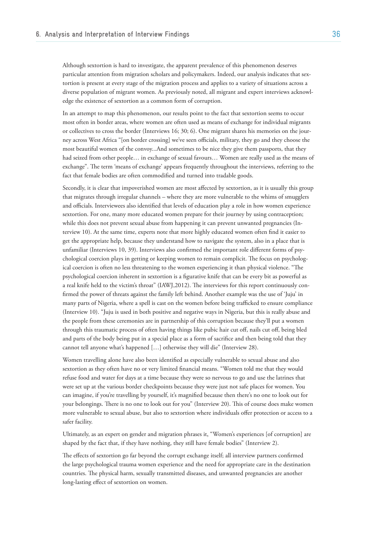Although sextortion is hard to investigate, the apparent prevalence of this phenomenon deserves particular attention from migration scholars and policymakers. Indeed, our analysis indicates that sextortion is present at every stage of the migration process and applies to a variety of situations across a diverse population of migrant women. As previously noted, all migrant and expert interviews acknowledge the existence of sextortion as a common form of corruption.

In an attempt to map this phenomenon, our results point to the fact that sextortion seems to occur most often in border areas, where women are often used as means of exchange for individual migrants or collectives to cross the border (Interviews 16; 30; 6). One migrant shares his memories on the journey across West Africa "[on border crossing] we've seen officials, military, they go and they choose the most beautiful women of the convoy...And sometimes to be nice they give them passports, that they had seized from other people… in exchange of sexual favours… Women are really used as the means of exchange". The term 'means of exchange' appears frequently throughout the interviews, referring to the fact that female bodies are often commodified and turned into tradable goods.

Secondly, it is clear that impoverished women are most affected by sextortion, as it is usually this group that migrates through irregular channels – where they are more vulnerable to the whims of smugglers and officials. Interviewees also identified that levels of education play a role in how women experience sextortion. For one, many more educated women prepare for their journey by using contraception; while this does not prevent sexual abuse from happening it can prevent unwanted pregnancies (Interview 10). At the same time, experts note that more highly educated women often find it easier to get the appropriate help, because they understand how to navigate the system, also in a place that is unfamiliar (Interviews 10, 39). Interviews also confirmed the important role different forms of psychological coercion plays in getting or keeping women to remain complicit. The focus on psychological coercion is often no less threatening to the women experiencing it than physical violence. "The psychological coercion inherent in sextortion is a figurative knife that can be every bit as powerful as a real knife held to the victim's throat" (IAWJ,2012). The interviews for this report continuously confirmed the power of threats against the family left behind. Another example was the use of 'Juju' in many parts of Nigeria, where a spell is cast on the women before being trafficked to ensure compliance (Interview 10). "Juju is used in both positive and negative ways in Nigeria, but this is really abuse and the people from these ceremonies are in partnership of this corruption because they'll put a women through this traumatic process of often having things like pubic hair cut off, nails cut off, being bled and parts of the body being put in a special place as a form of sacrifice and then being told that they cannot tell anyone what's happened […] otherwise they will die" (Interview 28).

Women travelling alone have also been identified as especially vulnerable to sexual abuse and also sextortion as they often have no or very limited financial means. "Women told me that they would refuse food and water for days at a time because they were so nervous to go and use the latrines that were set up at the various border checkpoints because they were just not safe places for women. You can imagine, if you're travelling by yourself, it's magnified because then there's no one to look out for your belongings. There is no one to look out for you" (Interview 20). This of course does make women more vulnerable to sexual abuse, but also to sextortion where individuals offer protection or access to a safer facility.

Ultimately, as an expert on gender and migration phrases it, "Women's experiences [of corruption] are shaped by the fact that, if they have nothing, they still have female bodies" (Interview 2).

The effects of sextortion go far beyond the corrupt exchange itself; all interview partners confirmed the large psychological trauma women experience and the need for appropriate care in the destination countries. The physical harm, sexually transmitted diseases, and unwanted pregnancies are another long-lasting effect of sextortion on women.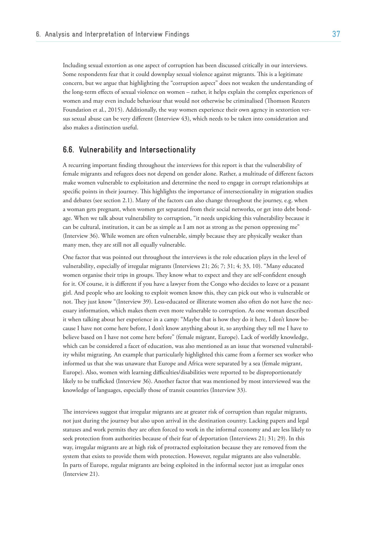Including sexual extortion as one aspect of corruption has been discussed critically in our interviews. Some respondents fear that it could downplay sexual violence against migrants. This is a legitimate concern, but we argue that highlighting the "corruption aspect" does not weaken the understanding of the long-term effects of sexual violence on women – rather, it helps explain the complex experiences of women and may even include behaviour that would not otherwise be criminalised (Thomson Reuters Foundation et al., 2015). Additionally, the way women experience their own agency in sextortion versus sexual abuse can be very different (Interview 43), which needs to be taken into consideration and also makes a distinction useful.

# **6.6. Vulnerability and Intersectionality**

A recurring important finding throughout the interviews for this report is that the vulnerability of female migrants and refugees does not depend on gender alone. Rather, a multitude of different factors make women vulnerable to exploitation and determine the need to engage in corrupt relationships at specific points in their journey. This highlights the importance of intersectionality in migration studies and debates (see section 2.1). Many of the factors can also change throughout the journey, e.g. when a woman gets pregnant, when women get separated from their social networks, or get into debt bondage. When we talk about vulnerability to corruption, "it needs unpicking this vulnerability because it can be cultural, institution, it can be as simple as I am not as strong as the person oppressing me" (Interview 36). While women are often vulnerable, simply because they are physically weaker than many men, they are still not all equally vulnerable.

One factor that was pointed out throughout the interviews is the role education plays in the level of vulnerability, especially of irregular migrants (Interviews 21; 26; 7; 31; 4; 33, 10). "Many educated women organise their trips in groups. They know what to expect and they are self-confident enough for it. Of course, it is different if you have a lawyer from the Congo who decides to leave or a peasant girl. And people who are looking to exploit women know this, they can pick out who is vulnerable or not. They just know "(Interview 39). Less-educated or illiterate women also often do not have the necessary information, which makes them even more vulnerable to corruption. As one woman described it when talking about her experience in a camp: "Maybe that is how they do it here, I don't know because I have not come here before, I don't know anything about it, so anything they tell me I have to believe based on I have not come here before" (female migrant, Europe). Lack of worldly knowledge, which can be considered a facet of education, was also mentioned as an issue that worsened vulnerability whilst migrating. An example that particularly highlighted this came from a former sex worker who informed us that she was unaware that Europe and Africa were separated by a sea (female migrant, Europe). Also, women with learning difficulties/disabilities were reported to be disproportionately likely to be trafficked (Interview 36). Another factor that was mentioned by most interviewed was the knowledge of languages, especially those of transit countries (Interview 33).

The interviews suggest that irregular migrants are at greater risk of corruption than regular migrants, not just during the journey but also upon arrival in the destination country. Lacking papers and legal statuses and work permits they are often forced to work in the informal economy and are less likely to seek protection from authorities because of their fear of deportation (Interviews 21; 31; 29). In this way, irregular migrants are at high risk of protracted exploitation because they are removed from the system that exists to provide them with protection. However, regular migrants are also vulnerable. In parts of Europe, regular migrants are being exploited in the informal sector just as irregular ones (Interview 21).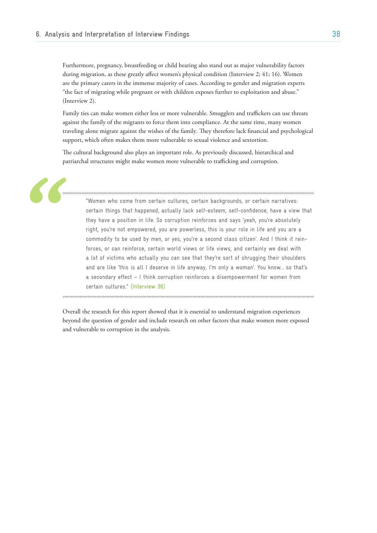Furthermore, pregnancy, breastfeeding or child bearing also stand out as major vulnerability factors during migration, as these greatly affect women's physical condition (Interview 2; 41; 16). Women are the primary carers in the immense majority of cases. According to gender and migration experts "the fact of migrating while pregnant or with children exposes further to exploitation and abuse." (Interview 2).

Family ties can make women either less or more vulnerable. Smugglers and traffickers can use threats against the family of the migrants to force them into compliance. At the same time, many women traveling alone migrate against the wishes of the family. They therefore lack financial and psychological support, which often makes them more vulnerable to sexual violence and sextortion.

The cultural background also plays an important role. As previously discussed, hierarchical and patriarchal structures might make women more vulnerable to trafficking and corruption.

"Women who come from certain cultures, certain backgrounds, or certain narratives: certain things that happened, actually lack self-esteem, self-confidence, have a view that they have a position in life. So corruption reinforces and says 'yeah, you're absolutely right, you're not empowered, you are powerless, this is your role in life and you are a commodity to be used by men, or yes, you're a second class citizen'. And I think it reinforces, or can reinforce, certain world views or life views, and certainly we deal with a lot of victims who actually you can see that they're sort of shrugging their shoulders and are like 'this is all I deserve in life anyway, I'm only a woman'. You know… so that's a secondary effect – I think corruption reinforces a disempowerment for women from certain cultures." (Interview 36)

Overall the research for this report showed that it is essential to understand migration experiences beyond the question of gender and include research on other factors that make women more exposed and vulnerable to corruption in the analysis.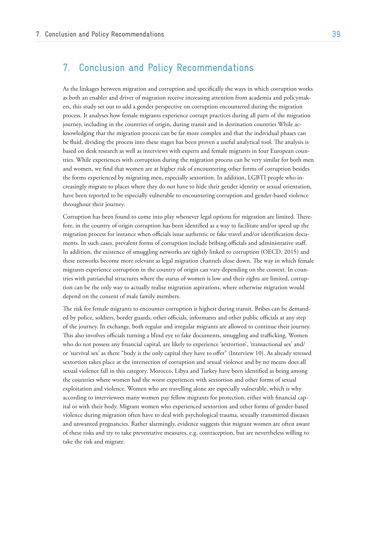# 7. Conclusion and Policy Recommendations

As the linkages between migration and corruption and specifically the ways in which corruption works as both an enabler and driver of migration receive increasing attention from academia and policymakers, this study set out to add a gender perspective on corruption encountered during the migration process. It analyses how female migrants experience corrupt practices during all parts of the migration journey, including in the countries of origin, during transit and in destination countries While acknowledging that the migration process can be far more complex and that the individual phases can be fluid, dividing the process into these stages has been proven a useful analytical tool. The analysis is based on desk research as well as interviews with experts and female migrants in four European countries. While experiences with corruption during the migration process can be very similar for both men and women, we find that women are at higher risk of encountering other forms of corruption besides the forms experienced by migrating men, especially sextortion. In addition, LGBTI people who increasingly migrate to places where they do not have to hide their gender identity or sexual orientation, have been reported to be especially vulnerable to encountering corruption and gender-based violence throughout their journey.

Corruption has been found to come into play whenever legal options for migration are limited. Therefore, in the country of origin corruption has been identified as a way to facilitate and/or speed up the migration process for instance when officials issue authentic or fake travel and/or identification documents. In such cases, prevalent forms of corruption include bribing officials and administrative staff. In addition, the existence of smuggling networks are tightly linked to corruption (OECD, 2015) and these networks become more relevant as legal migration channels close down. The way in which female migrants experience corruption in the country of origin can vary depending on the context. In countries with patriarchal structures where the status of women is low and their rights are limited, corruption can be the only way to actually realise migration aspirations, where otherwise migration would depend on the consent of male family members.

The risk for female migrants to encounter corruption is highest during transit. Bribes can be demanded by police, soldiers, border guards, other officials, informants and other public officials at any step of the journey. In exchange, both regular and irregular migrants are allowed to continue their journey. This also involves officials turning a blind eye to fake documents, smuggling and trafficking. Women who do not possess any financial capital, are likely to experience 'sextortion', 'transactional sex' and/ or 'survival sex' as there "body is the only capital they have to offer" (Interview 10). As already stressed sextortion takes place at the intersection of corruption and sexual violence and by no means does all sexual violence fall in this category. Morocco, Libya and Turkey have been identified as being among the countries where women had the worst experiences with sextortion and other forms of sexual exploitation and violence. Women who are travelling alone are especially vulnerable, which is why according to interviewees many women pay fellow migrants for protection, either with financial capital or with their body. Migrant women who experienced sextortion and other forms of gender-based violence during migration often have to deal with psychological trauma, sexually transmitted diseases and unwanted pregnancies. Rather alarmingly, evidence suggests that migrant women are often aware of these risks and try to take preventative measures, e.g. contraception, but are nevertheless willing to take the risk and migrate.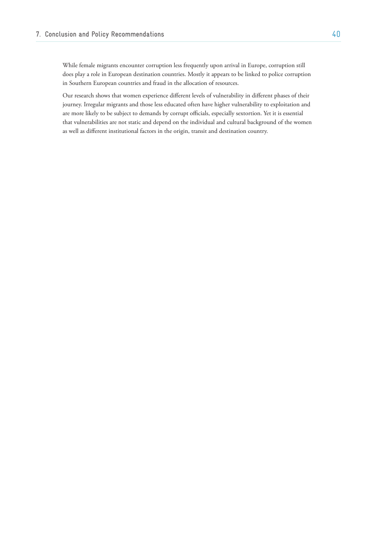While female migrants encounter corruption less frequently upon arrival in Europe, corruption still does play a role in European destination countries. Mostly it appears to be linked to police corruption in Southern European countries and fraud in the allocation of resources.

Our research shows that women experience different levels of vulnerability in different phases of their journey. Irregular migrants and those less educated often have higher vulnerability to exploitation and are more likely to be subject to demands by corrupt officials, especially sextortion. Yet it is essential that vulnerabilities are not static and depend on the individual and cultural background of the women as well as different institutional factors in the origin, transit and destination country.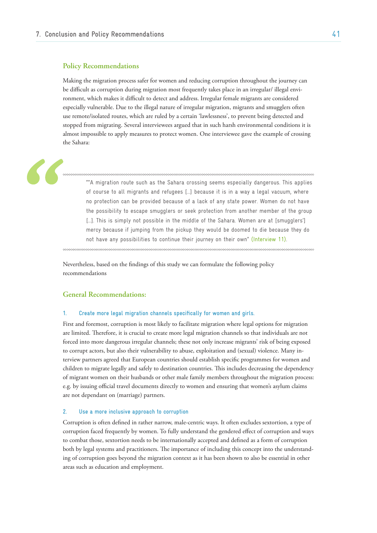### **Policy Recommendations**

Making the migration process safer for women and reducing corruption throughout the journey can be difficult as corruption during migration most frequently takes place in an irregular/ illegal environment, which makes it difficult to detect and address. Irregular female migrants are considered especially vulnerable. Due to the illegal nature of irregular migration, migrants and smugglers often use remote/isolated routes, which are ruled by a certain 'lawlessness', to prevent being detected and stopped from migrating. Several interviewees argued that in such harsh environmental conditions it is almost impossible to apply measures to protect women. One interviewee gave the example of crossing the Sahara:

""A migration route such as the Sahara crossing seems especially dangerous. This applies of course to all migrants and refugees […] because it is in a way a legal vacuum, where no protection can be provided because of a lack of any state power. Women do not have the possibility to escape smugglers or seek protection from another member of the group [...]. This is simply not possible in the middle of the Sahara. Women are at [smugglers'] mercy because if jumping from the pickup they would be doomed to die because they do not have any possibilities to continue their journey on their own" (Interview 11).

Nevertheless, based on the findings of this study we can formulate the following policy recommendations

### **General Recommendations:**

#### **1. Create more legal migration channels specifically for women and girls.**

First and foremost, corruption is most likely to facilitate migration where legal options for migration are limited. Therefore, it is crucial to create more legal migration channels so that individuals are not forced into more dangerous irregular channels; these not only increase migrants' risk of being exposed to corrupt actors, but also their vulnerability to abuse, exploitation and (sexual) violence. Many interview partners agreed that European countries should establish specific programmes for women and children to migrate legally and safely to destination countries. This includes decreasing the dependency of migrant women on their husbands or other male family members throughout the migration process: e.g. by issuing official travel documents directly to women and ensuring that women's asylum claims are not dependant on (marriage) partners.

#### **2. Use a more inclusive approach to corruption**

Corruption is often defined in rather narrow, male-centric ways. It often excludes sextortion, a type of corruption faced frequently by women. To fully understand the gendered effect of corruption and ways to combat those, sextortion needs to be internationally accepted and defined as a form of corruption both by legal systems and practitioners. The importance of including this concept into the understanding of corruption goes beyond the migration context as it has been shown to also be essential in other areas such as education and employment.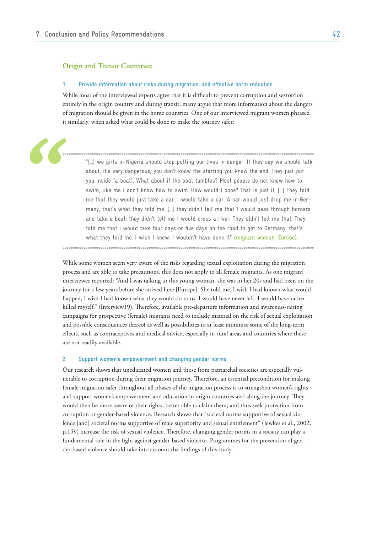### **Origin and Transit Countries:**

#### **1. Provide information about risks during migration, and effective harm reduction**

While most of the interviewed experts agree that it is difficult to prevent corruption and sextortion entirely in the origin country and during transit, many argue that more information about the dangers of migration should be given in the home countries. One of our interviewed migrant women phrased it similarly, when asked what could be done to make the journey safer:

"[…] we girls in Nigeria should stop putting our lives in danger. If they say we should talk about, it's very dangerous, you don't know the starting you know the end. They just put you inside [a boat]. What about if the boat tumbles? Most people do not know how to swim, like me I don't know how to swim. How would I cope? That is just it. […] They told me that they would just take a car. I would take a car. A car would just drop me in Germany, that's what they told me. […] they didn't tell me that I would pass through borders and take a boat; they didn't tell me I would cross a river. They didn't tell me that. They told me that I would take four days or five days on the road to get to Germany, that's what they told me. I wish I knew. I wouldn't have done it" (migrant woman, Europe).

While some women seem very aware of the risks regarding sexual exploitation during the migration process and are able to take precautions, this does not apply to all female migrants. As one migrant interviewee reported: "And I was talking to this young woman, she was in her 20s and had been on the journey for a few years before she arrived here [Europe]. She told me, I wish I had known what would happen, I wish I had known what they would do to us. I would have never left. I would have rather killed myself." (Interview19). Therefore, available pre-departure information and awareness-raising campaigns for prospective (female) migrants need to include material on the risk of sexual exploitation and possible consequences thereof as well as possibilities to at least minimise some of the long-term effects, such as contraceptives and medical advice, especially in rural areas and countries where these are not readily available.

### **2. Support women's empowerment and changing gender norms**

Our research shows that uneducated women and those from patriarchal societies are especially vulnerable to corruption during their migration journey. Therefore, an essential precondition for making female migration safer throughout all phases of the migration process is to strengthen women's rights and support women's empowerment and education in origin countries and along the journey. They would then be more aware of their rights, better able to claim them, and thus seek protection from corruption or gender-based violence. Research shows that "societal norms supportive of sexual violence [and] societal norms supportive of male superiority and sexual entitlement" (Jewkes et al., 2002, p.159) increase the risk of sexual violence. Therefore, changing gender norms in a society can play a fundamental role in the fight against gender-based violence. Programmes for the prevention of gender-based violence should take into account the findings of this study.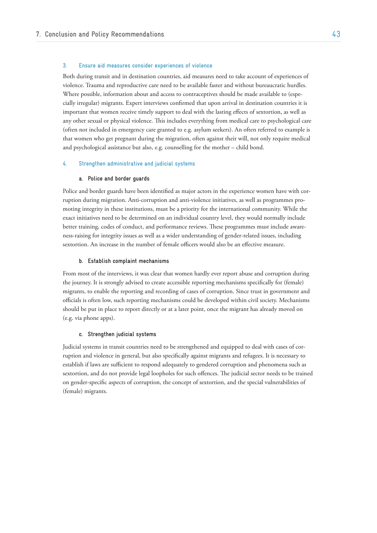### **3. Ensure aid measures consider experiences of violence**

Both during transit and in destination countries, aid measures need to take account of experiences of violence. Trauma and reproductive care need to be available faster and without bureaucratic hurdles. Where possible, information about and access to contraceptives should be made available to (especially irregular) migrants. Expert interviews confirmed that upon arrival in destination countries it is important that women receive timely support to deal with the lasting effects of sextortion, as well as any other sexual or physical violence. This includes everything from medical care to psychological care (often not included in emergency care granted to e.g. asylum seekers). An often referred to example is that women who get pregnant during the migration, often against their will, not only require medical and psychological assistance but also, e.g. counselling for the mother – child bond.

#### **4. Strengthen administrative and judicial systems**

#### **a. Police and border guards**

Police and border guards have been identified as major actors in the experience women have with corruption during migration. Anti-corruption and anti-violence initiatives, as well as programmes promoting integrity in these institutions, must be a priority for the international community. While the exact initiatives need to be determined on an individual country level, they would normally include better training, codes of conduct, and performance reviews. These programmes must include awareness-raising for integrity issues as well as a wider understanding of gender-related issues, including sextortion. An increase in the number of female officers would also be an effective measure.

#### **b. Establish complaint mechanisms**

From most of the interviews, it was clear that women hardly ever report abuse and corruption during the journey. It is strongly advised to create accessible reporting mechanisms specifically for (female) migrants, to enable the reporting and recording of cases of corruption. Since trust in government and officials is often low, such reporting mechanisms could be developed within civil society. Mechanisms should be put in place to report directly or at a later point, once the migrant has already moved on (e.g. via phone apps).

#### **c. Strengthen judicial systems**

Judicial systems in transit countries need to be strengthened and equipped to deal with cases of corruption and violence in general, but also specifically against migrants and refugees. It is necessary to establish if laws are sufficient to respond adequately to gendered corruption and phenomena such as sextortion, and do not provide legal loopholes for such offences. The judicial sector needs to be trained on gender-specific aspects of corruption, the concept of sextortion, and the special vulnerabilities of (female) migrants.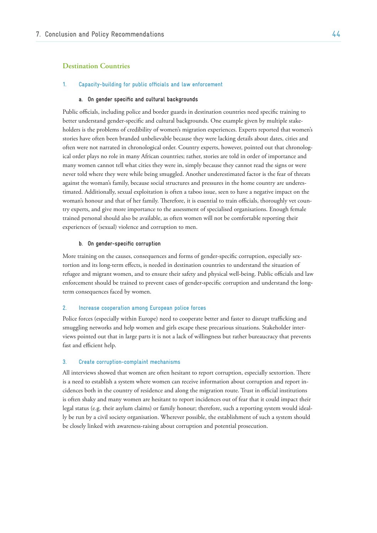## **Destination Countries**

#### **1. Capacity-building for public officials and law enforcement**

#### **a. On gender specific and cultural backgrounds**

Public officials, including police and border guards in destination countries need specific training to better understand gender-specific and cultural backgrounds. One example given by multiple stakeholders is the problems of credibility of women's migration experiences. Experts reported that women's stories have often been branded unbelievable because they were lacking details about dates, cities and often were not narrated in chronological order. Country experts, however, pointed out that chronological order plays no role in many African countries; rather, stories are told in order of importance and many women cannot tell what cities they were in, simply because they cannot read the signs or were never told where they were while being smuggled. Another underestimated factor is the fear of threats against the woman's family, because social structures and pressures in the home country are underestimated. Additionally, sexual exploitation is often a taboo issue, seen to have a negative impact on the woman's honour and that of her family. Therefore, it is essential to train officials, thoroughly vet country experts, and give more importance to the assessment of specialised organisations. Enough female trained personal should also be available, as often women will not be comfortable reporting their experiences of (sexual) violence and corruption to men.

#### **b. On gender-specific corruption**

More training on the causes, consequences and forms of gender-specific corruption, especially sextortion and its long-term effects, is needed in destination countries to understand the situation of refugee and migrant women, and to ensure their safety and physical well-being. Public officials and law enforcement should be trained to prevent cases of gender-specific corruption and understand the longterm consequences faced by women.

#### **2. Increase cooperation among European police forces**

Police forces (especially within Europe) need to cooperate better and faster to disrupt trafficking and smuggling networks and help women and girls escape these precarious situations. Stakeholder interviews pointed out that in large parts it is not a lack of willingness but rather bureaucracy that prevents fast and efficient help.

#### **3. Create corruption-complaint mechanisms**

All interviews showed that women are often hesitant to report corruption, especially sextortion. There is a need to establish a system where women can receive information about corruption and report incidences both in the country of residence and along the migration route. Trust in official institutions is often shaky and many women are hesitant to report incidences out of fear that it could impact their legal status (e.g. their asylum claims) or family honour; therefore, such a reporting system would ideally be run by a civil society organisation. Wherever possible, the establishment of such a system should be closely linked with awareness-raising about corruption and potential prosecution.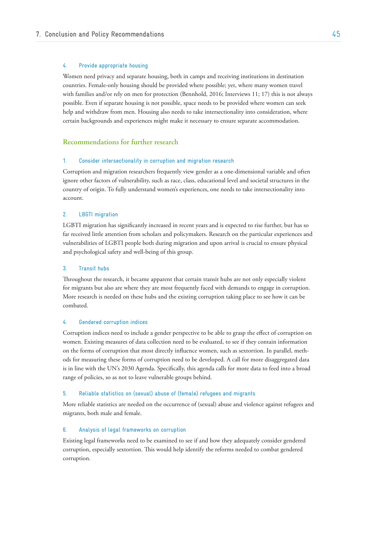### **4. Provide appropriate housing**

Women need privacy and separate housing, both in camps and receiving institutions in destination countries. Female-only housing should be provided where possible; yet, where many women travel with families and/or rely on men for protection (Bennhold, 2016; Interviews 11; 17) this is not always possible. Even if separate housing is not possible, space needs to be provided where women can seek help and withdraw from men. Housing also needs to take intersectionality into consideration, where certain backgrounds and experiences might make it necessary to ensure separate accommodation.

### **Recommendations for further research**

#### **1. Consider intersectionality in corruption and migration research**

Corruption and migration researchers frequently view gender as a one-dimensional variable and often ignore other factors of vulnerability, such as race, class, educational level and societal structures in the country of origin. To fully understand women's experiences, one needs to take intersectionality into account.

#### **2. LBGTI migration**

LGBTI migration has significantly increased in recent years and is expected to rise further, but has so far received little attention from scholars and policymakers. Research on the particular experiences and vulnerabilities of LGBTI people both during migration and upon arrival is crucial to ensure physical and psychological safety and well-being of this group.

### **3. Transit hubs**

Throughout the research, it became apparent that certain transit hubs are not only especially violent for migrants but also are where they are most frequently faced with demands to engage in corruption. More research is needed on these hubs and the existing corruption taking place to see how it can be combated.

#### **4. Gendered corruption indices**

Corruption indices need to include a gender perspective to be able to grasp the effect of corruption on women. Existing measures of data collection need to be evaluated, to see if they contain information on the forms of corruption that most directly influence women, such as sextortion. In parallel, methods for measuring these forms of corruption need to be developed. A call for more disaggregated data is in line with the UN's 2030 Agenda. Specifically, this agenda calls for more data to feed into a broad range of policies, so as not to leave vulnerable groups behind.

#### **5. Reliable statistics on (sexual) abuse of (female) refugees and migrants**

More reliable statistics are needed on the occurrence of (sexual) abuse and violence against refugees and migrants, both male and female.

#### **6. Analysis of legal frameworks on corruption**

Existing legal frameworks need to be examined to see if and how they adequately consider gendered corruption, especially sextortion. This would help identify the reforms needed to combat gendered corruption.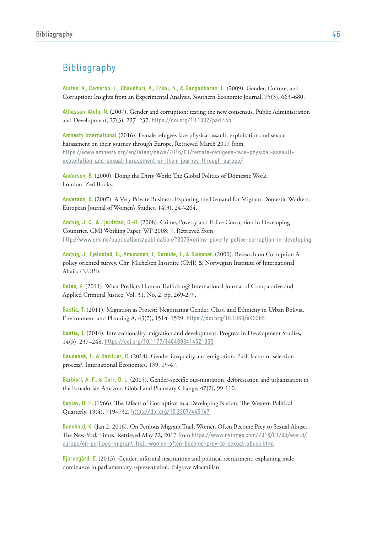# Bibliography

**Alatas, V., Cameron, L., Chaudhuri, A., Erkal, N., & Gangadharan, L.** (2009). Gender, Culture, and Corruption: Insights from an Experimental Analysis. Southern Economic Journal, 75(3), 663–680.

**Alhassan-Alolo, N.** (2007). Gender and corruption: testing the new consensus. Public Administration and Development, 27(3), 227–237. https://doi.org/10.1002/pad.455

**Amnesty International** (2016). Female refugees face physical assault, exploitation and sexual harassment on their journey through Europe. Retrieved March 2017 from https://www.amnesty.org/en/latest/news/2016/01/female-refugees-face-physical-assaultexploitation-and-sexual-harassment-on-their-journey-through-europe/

**Anderson, B.** (2000). Doing the Dirty Work: The Global Politics of Domestic Work. London: Zed Books.

**Anderson, B.** (2007). A Very Private Business: Exploring the Demand for Migrant Domestic Workers. European Journal of Women's Studies, 14(3), 247-264.

**Andvig, J. C., & Fjeldstad, O.-H.** (2008). Crime, Poverty and Police Corruption in Developing Countries. CMI Working Paper, WP 2008: 7. Retrieved from http://www.cmi.no/publications/publication/?3076=crime-poverty-police-corruption-in-developing

**Andvig, J., Fjeldstad, O., Amundsen, I., Søreide, T., & Sissener.** (2000). Research on Corruption A policy oriented survey. Chr. Michelsen Institute (CMI) & Norwegian Institute of International Affairs (NUPI).

**Bales, K.** (2011). What Predicts Human Trafficking? International Journal of Comparative and Applied Criminal Justice, Vol. 31, No. 2, pp. 269-279.

**Bastia, T.** (2011). Migration as Protest? Negotiating Gender, Class, and Ethnicity in Urban Bolivia. Environment and Planning A, 43(7), 1514–1529. https://doi.org/10.1068/a43365

**Bastia, T.** (2014). Intersectionality, migration and development. Progress in Development Studies, 14(3), 237–248. https://doi.org/10.1177/1464993414521330

**Baudassé, T., & Bazillier, R.** (2014). Gender inequality and emigration: Push factor or selection process?. International Economics, 139, 19-47.

**Barbieri, A. F., & Carr, D. L.** (2005). Gender-specific out-migration, deforestation and urbanization in the Ecuadorian Amazon. Global and Planetary Change, 47(2), 99-110.

**Bayley, D. H.** (1966). The Effects of Corruption in a Developing Nation. The Western Political Quarterly, 19(4), 719–732. https://doi.org/10.2307/445147

**Bennhold, K.** (Jan 2, 2016). On Perilous Migrant Trail, Women Often Become Prey to Sexual Abuse. The New York Times. Retrieved May 22, 2017 from https://www.nytimes.com/2016/01/03/world/ [europe/on-perilous-migrant-trail-women-often-become-prey-to-sexual-abuse.html](https://www.nytimes.com/2016/01/03/world/europe/on-perilous-migrant-trail-women-often-become-prey-to-sexual-abuse.html)

**Bjarnegård, E.** (2013). Gender, informal institutions and political recruitment: explaining male dominance in parliamentary representation. Palgrave Macmillan.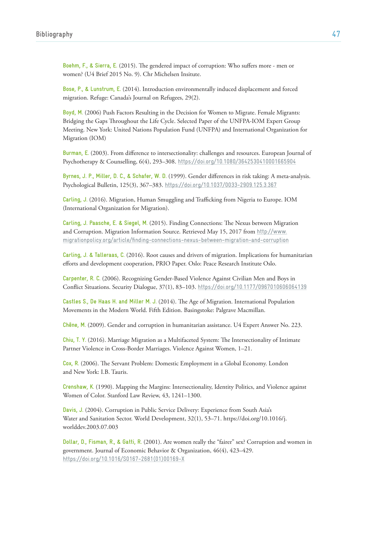**Boehm, F., & Sierra, E.** (2015). The gendered impact of corruption: Who suffers more - men or women? (U4 Brief 2015 No. 9). Chr Michelsen Insitute.

**Bose, P., & Lunstrum, E.** (2014). Introduction environmentally induced displacement and forced migration. Refuge: Canada's Journal on Refugees, 29(2).

**Boyd, M.** (2006) Push Factors Resulting in the Decision for Women to Migrate. Female Migrants: Bridging the Gaps Throughout the Life Cycle. Selected Paper of the UNFPA-IOM Expert Group Meeting. New York: United Nations Population Fund (UNFPA) and International Organization for Migration (IOM)

**Burman, E.** (2003). From difference to intersectionality: challenges and resources. European Journal of Psychotherapy & Counselling, 6(4), 293–308. https://doi.org/10.1080/3642530410001665904

**Byrnes, J. P., Miller, D. C., & Schafer, W. D.** (1999). Gender differences in risk taking: A meta-analysis. Psychological Bulletin, 125(3), 367–383. https://doi.org/10.1037/0033-2909.125.3.367

**Carling, J.** (2016). Migration, Human Smuggling and Trafficking from Nigeria to Europe. IOM (International Organization for Migration).

**Carling, J. Paasche, E. & Siegel, M.** (2015). Finding Connections: The Nexus between Migration [and Corruption. Migration Information Source. Retrieved May 15, 2017 from](http://www.migrationpolicy.org/article/finding-connections-nexus-between-migration-and-corruption) http://www. migrationpolicy.org/article/finding-connections-nexus-between-migration-and-corruption

**Carling, J. & Talleraas, C.** (2016). Root causes and drivers of migration. Implications for humanitarian efforts and development cooperation, PRIO Paper. Oslo: Peace Research Institute Oslo.

**Carpenter, R. C.** (2006). Recognizing Gender-Based Violence Against Civilian Men and Boys in Conflict Situations. Security Dialogue, 37(1), 83–103. https://doi.org/10.1177/0967010606064139

**Castles S., De Haas H. and Miller M. J.** (2014). The Age of Migration. International Population Movements in the Modern World. Fifth Edition. Basingstoke: Palgrave Macmillan.

**Chêne, M.** (2009). Gender and corruption in humanitarian assistance. U4 Expert Answer No. 223.

**Chiu, T. Y.** (2016). Marriage Migration as a Multifaceted System: The Intersectionality of Intimate Partner Violence in Cross-Border Marriages. Violence Against Women, 1–21.

**Cox, R.** (2006). The Servant Problem: Domestic Employment in a Global Economy. London and New York: I.B. Tauris.

**Crenshaw, K.** (1990). Mapping the Margins: Intersectionality, Identity Politics, and Violence against Women of Color. Stanford Law Review, 43, 1241–1300.

**Davis, J.** (2004). Corruption in Public Service Delivery: Experience from South Asia's Water and Sanitation Sector. World Development, 32(1), 53–71. https://doi.org/10.1016/j. worlddev.2003.07.003

**Dollar, D., Fisman, R., & Gatti, R.** (2001). Are women really the "fairer" sex? Corruption and women in government. Journal of Economic Behavior & Organization, 46(4), 423–429. [https://doi.org/10.1016/S0167-2681\(01\)00169-X](https://doi.org/10.1016/S0167-2681(01)00169-X)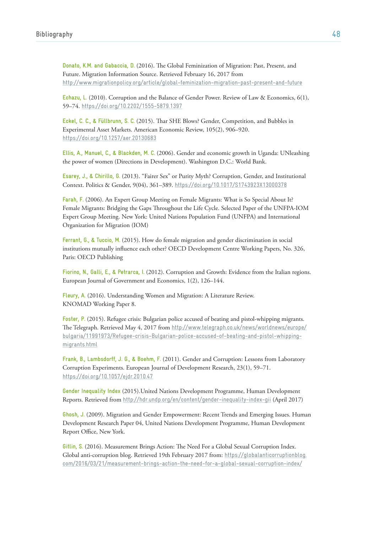**Donato, K.M. and Gabaccia, D.** (2016). The Global Feminization of Migration: Past, Present, and Future. Migration Information Source. Retrieved February 16, 2017 from http://www.migrationpolicy.org/article/global-feminization-migration-past-present-and-future

**Echazu, L.** (2010). Corruption and the Balance of Gender Power. Review of Law & Economics, 6(1), 59–74. https://doi.org/10.2202/1555-5879.1397

**Eckel, C. C., & Füllbrunn, S. C.** (2015). Thar SHE Blows? Gender, Competition, and Bubbles in Experimental Asset Markets. American Economic Review, 105(2), 906–920. https://doi.org/10.1257/aer.20130683

**Ellis, A., Manuel, C., & Blackden, M. C.** (2006). Gender and economic growth in Uganda: UNleashing the power of women (Directions in Development). Washington D.C.: World Bank.

**Esarey, J., & Chirillo, G.** (2013). "Fairer Sex" or Purity Myth? Corruption, Gender, and Institutional Context. Politics & Gender, 9(04), 361–389. https://doi.org/10.1017/S1743923X13000378

**Farah, F.** (2006). An Expert Group Meeting on Female Migrants: What is So Special About It? Female Migrants: Bridging the Gaps Throughout the Life Cycle. Selected Paper of the UNFPA-IOM Expert Group Meeting. New York: United Nations Population Fund (UNFPA) and International Organization for Migration (IOM)

**Ferrant, G., & Tuccio, M.** (2015). How do female migration and gender discrimination in social institutions mutually influence each other? OECD Development Centre Working Papers, No. 326, Paris: OECD Publishing

**Fiorino, N., Galli, E., & Petrarca, I.** (2012). Corruption and Growth: Evidence from the Italian regions. European Journal of Government and Economics, 1(2), 126–144.

**Fleury, A.** (2016). Understanding Women and Migration: A Literature Review. KNOMAD Working Paper 8.

**Foster, P.** (2015). Refugee crisis: Bulgarian police accused of beating and pistol-whipping migrants. The Telegraph. Retrieved May 4, 2017 from http://www.telegraph.co.uk/news/worldnews/europe/ [bulgaria/11991973/Refugee-crisis-Bulgarian-police-accused-of-beating-and-pistol-whipping](http://www.telegraph.co.uk/news/worldnews/europe/bulgaria/11991973/Refugee-crisis-Bulgarian-police-accused-of-beating-and-pistol-whipping-migrants.html)migrants.html

**Frank, B., Lambsdorff, J. G., & Boehm, F.** (2011). Gender and Corruption: Lessons from Laboratory Corruption Experiments. European Journal of Development Research, 23(1), 59–71. https://doi.org/10.1057/ejdr.2010.47

**Gender Inequality Index** (2015).United Nations Development Programme, Human Development Reports. Retrieved from http://hdr.undp.org/en/content/gender-inequality-index-gii (April 2017)

**Ghosh, J.** (2009). Migration and Gender Empowerment: Recent Trends and Emerging Issues. Human Development Research Paper 04, United Nations Development Programme, Human Development Report Office, New York.

**Gitlin, S.** (2016). Measurement Brings Action: The Need For a Global Sexual Corruption Index. Global anti-corruption blog. Retrieved 19th February 2017 from: https://globalanticorruptionblog. [com/2016/03/21/measurement-brings-action-the-need-for-a-global-sexual-corruption-index/](https://globalanticorruptionblog.com/2016/03/21/measurement-brings-action-the-need-for-a-global-sexual-corruption-index/)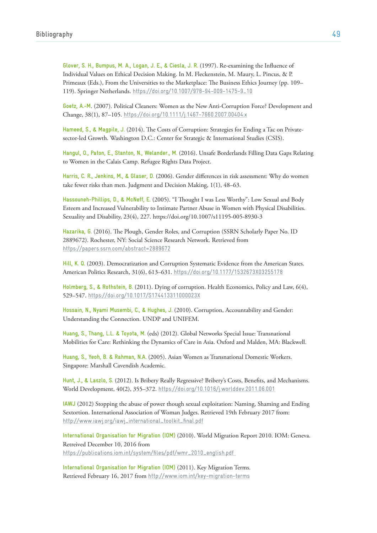**Glover, S. H., Bumpus, M. A., Logan, J. E., & Ciesla, J. R.** (1997). Re-examining the Influence of Individual Values on Ethical Decision Making. In M. Fleckenstein, M. Maury, L. Pincus, & P. Primeaux (Eds.), From the Universities to the Marketplace: The Business Ethics Journey (pp. 109– 119). Springer Netherlands. https://doi.org/10.1007/978-94-009-1475-9\_10

**Goetz, A.-M**. (2007). Political Cleaners: Women as the New Anti-Corruption Force? Development and Change, 38(1), 87–105. https://doi.org/10.1111/j.1467-7660.2007.00404.x

**Hameed, S., & Magpile, J.** (2014). The Costs of Corruption: Strategies for Ending a Tac on Privatesector-led Growth. Washington D.C.: Center for Strategic & International Studies (CSIS).

**Hangul, O., Paton, E., Stanton, N., Welander., M.** (2016). Unsafe Borderlands Filling Data Gaps Relating to Women in the Calais Camp. Refugee Rights Data Project.

**Harris, C. R., Jenkins, M., & Glaser, D.** (2006). Gender differences in risk assessment: Why do women take fewer risks than men. Judgment and Decision Making, 1(1), 48–63.

**Hassouneh-Phillips, D., & McNeff, E.** (2005). "I Thought I was Less Worthy": Low Sexual and Body Esteem and Increased Vulnerability to Intimate Partner Abuse in Women with Physical Disabilities. Sexuality and Disability, 23(4), 227. https://doi.org/10.1007/s11195-005-8930-3

**Hazarika, G.** (2016). The Plough, Gender Roles, and Corruption (SSRN Scholarly Paper No. ID 2889672). Rochester, NY: Social Science Research Network. Retrieved from https://papers.ssrn.com/abstract=2889672

**Hill, K. Q.** (2003). Democratization and Corruption Systematic Evidence from the American States. American Politics Research, 31(6), 613–631. https://doi.org/10.1177/1532673X03255178

**Holmberg, S., & Rothstein, B.** (2011). Dying of corruption. Health Economics, Policy and Law, 6(4), 529–547. https://doi.org/10.1017/S174413311000023X

**Hossain, N., Nyami Musembi, C., & Hughes, J.** (2010). Corruption, Accountability and Gender: Understanding the Connection. UNDP and UNIFEM.

**Huang, S., Thang, L.L. & Toyota, M.** (eds) (2012). Global Networks Special Issue: Transnational Mobilities for Care: Rethinking the Dynamics of Care in Asia. Oxford and Malden, MA: Blackwell.

**Huang, S., Yeoh, B. & Rahman, N.A.** (2005). Asian Women as Transnational Domestic Workers. Singapore: Marshall Cavendish Academic.

**Hunt, J., & Laszlo, S.** (2012). Is Bribery Really Regressive? Bribery's Costs, Benefits, and Mechanisms. World Development, 40(2), 355–372. https://doi.org/10.1016/j.worlddev.2011.06.001

**IAWJ** (2012) Stopping the abuse of power though sexual exploitation: Naming, Shaming and Ending Sextortion. International Association of Woman Judges. Retrieved 19th February 2017 from: http://www.iawj.org/iawj\_international\_toolkit\_final.pdf

**International Organisation for Migration (IOM)** (2010). World Migration Report 2010. IOM: Geneva. Retreived December 10, 2016 from https://publications.iom.int/system/files/pdf/wmr\_2010\_english.pdf

**International Organisation for Migration (IOM)** (2011). Key Migration Terms. Retrieved February 16, 2017 from http://www.iom.int/key-migration-terms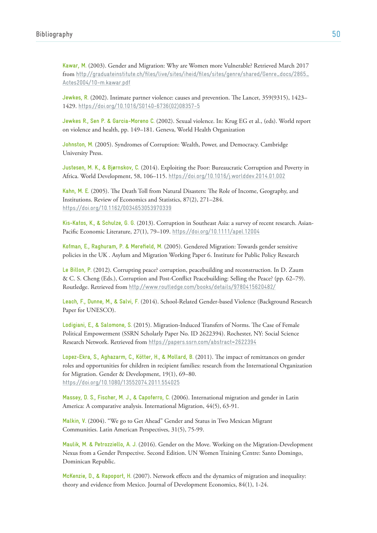**Kawar, M.** (2003). Gender and Migration: Why are Women more Vulnerable? Retrieved March 2017 from [http://graduateinstitute.ch/files/live/sites/iheid/files/sites/genre/shared/Genre\\_docs/2865\\_](http://graduateinstitute.ch/files/live/sites/iheid/files/sites/genre/shared/Genre_docs/2865_Actes2004/10-m.kawar.pdf) Actes2004/10-m.kawar.pdf

**Jewkes, R.** (2002). Intimate partner violence: causes and prevention. The Lancet, 359(9315), 1423– 1429. [https://doi.org/10.1016/S0140-6736\(02\)08357-5](https://doi.org/10.1016/S0140-6736(02)08357-5)

**Jewkes R., Sen P. & Garcia-Moreno C.** (2002). Sexual violence. In: Krug EG et al., (eds). World report on violence and health, pp. 149–181. Geneva, World Health Organization

**Johnston, M.** (2005). Syndromes of Corruption: Wealth, Power, and Democracy. Cambridge University Press.

**Justesen, M. K., & Bjørnskov, C.** (2014). Exploiting the Poor: Bureaucratic Corruption and Poverty in Africa. World Development, 58, 106–115. https://doi.org/10.1016/j.worlddev.2014.01.002

**Kahn, M. E.** (2005). The Death Toll from Natural Disasters: The Role of Income, Geography, and Institutions. Review of Economics and Statistics, 87(2), 271–284. https://doi.org/10.1162/0034653053970339

**Kis-Katos, K., & Schulze, G. G.** (2013). Corruption in Southeast Asia: a survey of recent research. Asian-Pacific Economic Literature, 27(1), 79–109. https://doi.org/10.1111/apel.12004

**Kofman, E., Raghuram, P. & Merefield, M.** (2005). Gendered Migration: Towards gender sensitive policies in the UK . Asylum and Migration Working Paper 6. Institute for Public Policy Research

**Le Billon, P.** (2012). Corrupting peace? corruption, peacebuilding and reconstruction. In D. Zaum & C. S. Cheng (Eds.), Corruption and Post-Conflict Peacebuilding: Selling the Peace? (pp. 62–79). Routledge. Retrieved from http://www.routledge.com/books/details/9780415620482/

**Leach, F., Dunne, M., & Salvi, F.** (2014). School-Related Gender-based Violence (Background Research Paper for UNESCO).

**Lodigiani, E., & Salomone, S.** (2015). Migration-Induced Transfers of Norms. The Case of Female Political Empowerment (SSRN Scholarly Paper No. ID 2622394). Rochester, NY: Social Science Research Network. Retrieved from https://papers.ssrn.com/abstract=2622394

**Lopez-Ekra, S., Aghazarm, C., Kötter, H., & Mollard, B.** (2011). The impact of remittances on gender roles and opportunities for children in recipient families: research from the International Organization for Migration. Gender & Development, 19(1), 69–80. https://doi.org/10.1080/13552074.2011.554025

**Massey, D. S., Fischer, M. J., & Capoferro, C.** (2006). International migration and gender in Latin America: A comparative analysis. International Migration, 44(5), 63-91.

**Malkin, V.** (2004). "We go to Get Ahead" Gender and Status in Two Mexican Migrant Communities. Latin American Perspectives, 31(5), 75-99.

**Maulik, M. & Petrozziello, A. J.** (2016). Gender on the Move. Working on the Migration-Development Nexus from a Gender Perspective. Second Edition. UN Women Training Centre: Santo Domingo, Dominican Republic.

**McKenzie, D., & Rapoport, H.** (2007). Network effects and the dynamics of migration and inequality: theory and evidence from Mexico. Journal of Development Economics, 84(1), 1-24.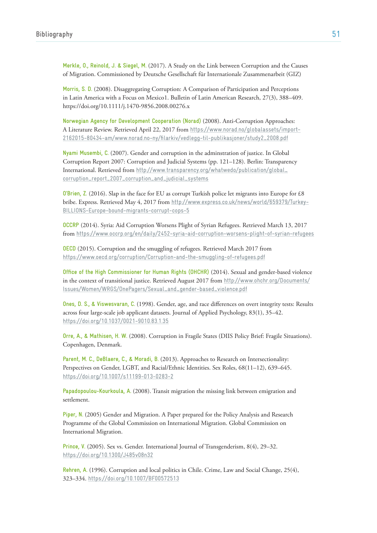**Merkle, O., Reinold, J. & Siegel, M.** (2017). A Study on the Link between Corruption and the Causes of Migration. Commissioned by Deutsche Gesellschaft für Internationale Zusammenarbeit (GIZ)

**Morris, S. D.** (2008). Disaggregating Corruption: A Comparison of Participation and Perceptions in Latin America with a Focus on Mexico1. Bulletin of Latin American Research, 27(3), 388–409. https://doi.org/10.1111/j.1470-9856.2008.00276.x

**Norwegian Agency for Development Cooperation (Norad)** (2008). Anti-Corruption Approaches: A Literature Review. Retrieved April 22, 2017 from https://www.norad.no/globalassets/import-2162015-80434-am/www.norad.no-ny/filarkiv/vedlegg-til-publikasjoner/study2\_2008.pdf

**Nyami Musembi, C.** (2007). Gender and corruption in the adminstration of justice. In Global Corruption Report 2007: Corruption and Judicial Systems (pp. 121–128). Berlin: Transparency International. Retrieved from [http://www.transparency.org/whatwedo/publication/global\\_](http://www.transparency.org/whatwedo/publication/global_corruption_report_2007_corruption_and_judicial_systems) corruption\_report\_2007\_corruption\_and\_judicial\_systems

**O'Brien, Z.** (2016). Slap in the face for EU as corrupt Turkish police let migrants into Europe for £8 bribe. Express. Retrieved May 4, 2017 from http://www.express.co.uk/news/world/659379/Turkey-BILLIONS-Europe-bound-migrants-corrupt-cops-5

**OCCRP** (2014). Syria: Aid Corruption Worsens Plight of Syrian Refugees. Retrieved March 13, 2017 from https://www.occrp.org/en/daily/2452-syria-aid-corruption-worsens-plight-of-syrian-refugees

**OECD** (2015). Corruption and the smuggling of refugees. Retrieved March 2017 from https://www.oecd.org/corruption/Corruption-and-the-smuggling-of-refugees.pdf

**Office of the High Commissioner for Human Rights (OHCHR)** (2014). Sexual and gender-based violence in the context of transitional justice. Retrieved August 2017 from http://www.ohchr.org/Documents/ [Issues/Women/WRGS/OnePagers/Sexual\\_and\\_gender-based\\_violence.pdf](http://www.ohchr.org/Documents/Issues/Women/WRGS/OnePagers/Sexual_and_gender-based_violence.pdf)

**Ones, D. S., & Viswesvaran, C.** (1998). Gender, age, and race differences on overt integrity tests: Results across four large-scale job applicant datasets. Journal of Applied Psychology, 83(1), 35–42. https://doi.org/10.1037/0021-9010.83.1.35

**Orre, A., & Mathisen, H. W.** (2008). Corruption in Fragile States (DIIS Policy Brief: Fragile Situations). Copenhagen, Denmark.

**Parent, M. C., DeBlaere, C., & Moradi, B.** (2013). Approaches to Research on Intersectionality: Perspectives on Gender, LGBT, and Racial/Ethnic Identities. Sex Roles, 68(11–12), 639–645. https://doi.org/10.1007/s11199-013-0283-2

**Papadopoulou-Kourkoula, A.** (2008). Transit migration the missing link between emigration and settlement.

**Piper, N.** (2005) Gender and Migration. A Paper prepared for the Policy Analysis and Research Programme of the Global Commission on International Migration. Global Commission on International Migration.

**Prince, V.** (2005). Sex vs. Gender. International Journal of Transgenderism, 8(4), 29–32. https://doi.org/10.1300/J485v08n32

**Rehren, A.** (1996). Corruption and local politics in Chile. Crime, Law and Social Change, 25(4), 323–334. https://doi.org/10.1007/BF00572513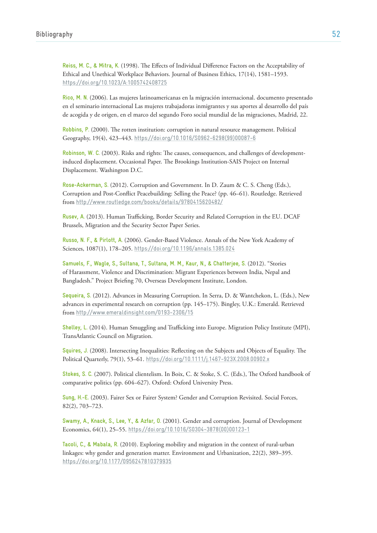**Reiss, M. C., & Mitra, K.** (1998). The Effects of Individual Difference Factors on the Acceptability of Ethical and Unethical Workplace Behaviors. Journal of Business Ethics, 17(14), 1581–1593. https://doi.org/10.1023/A:1005742408725

**Rico, M. N.** (2006). Las mujeres latinoamericanas en la migración internacional. documento presentado en el seminario internacional Las mujeres trabajadoras inmigrantes y sus aportes al desarrollo del país de acogida y de origen, en el marco del segundo Foro social mundial de las migraciones, Madrid, 22.

**Robbins, P.** (2000). The rotten institution: corruption in natural resource management. Political Geography, 19(4), 423–443. [https://doi.org/10.1016/S0962-6298\(99\)00087-6](https://doi.org/10.1016/S0962-6298(99)00087-6)

**Robinson, W. C.** (2003). Risks and rights: The causes, consequences, and challenges of developmentinduced displacement. Occasional Paper. The Brookings Institution-SAIS Project on Internal Displacement. Washington D.C.

**Rose-Ackerman, S.** (2012). Corruption and Government. In D. Zaum & C. S. Cheng (Eds.), Corruption and Post-Conflict Peacebuilding: Selling the Peace? (pp. 46–61). Routledge. Retrieved from http://www.routledge.com/books/details/9780415620482/

**Rusev, A.** (2013). Human Trafficking, Border Security and Related Corruption in the EU. DCAF Brussels, Migration and the Security Sector Paper Series.

**Russo, N. F., & Pirlott, A.** (2006). Gender-Based Violence. Annals of the New York Academy of Sciences, 1087(1), 178–205. https://doi.org/10.1196/annals.1385.024

**Samuels, F., Wagle, S., Sultana, T., Sultana, M. M., Kaur, N., & Chatterjee, S.** (2012). "Stories of Harassment, Violence and Discrimination: Migrant Experiences between India, Nepal and Bangladesh." Project Briefing 70, Overseas Development Institute, London.

**Sequeira, S.** (2012). Advances in Measuring Corruption. In Serra, D. & Wantchekon, L. (Eds.), New advances in experimental research on corruption (pp. 145–175). Bingley, U.K.: Emerald. Retrieved from http://www.emeraldinsight.com/0193-2306/15

**Shelley, L.** (2014). Human Smuggling and Trafficking into Europe. Migration Policy Institute (MPI), TransAtlantic Council on Migration.

**Squires, J.** (2008). Intersecting Inequalities: Reflecting on the Subjects and Objects of Equality. The Political Quarterly, 79(1), 53–61. https://doi.org/10.1111/j.1467-923X.2008.00902.x

**Stokes, S. C.** (2007). Political clientelism. In Boix, C. & Stoke, S. C. (Eds.), The Oxford handbook of comparative politics (pp. 604–627). Oxford: Oxford University Press.

**Sung, H.-E.** (2003). Fairer Sex or Fairer System? Gender and Corruption Revisited. Social Forces, 82(2), 703–723.

**Swamy, A., Knack, S., Lee, Y., & Azfar, O.** (2001). Gender and corruption. Journal of Development Economics, 64(1), 25–55. [https://doi.org/10.1016/S0304-3878\(00\)00123-1](https://doi.org/10.1016/S0304-3878(00)00123-1)

**Tacoli, C., & Mabala, R.** (2010). Exploring mobility and migration in the context of rural-urban linkages: why gender and generation matter. Environment and Urbanization, 22(2), 389–395. https://doi.org/10.1177/0956247810379935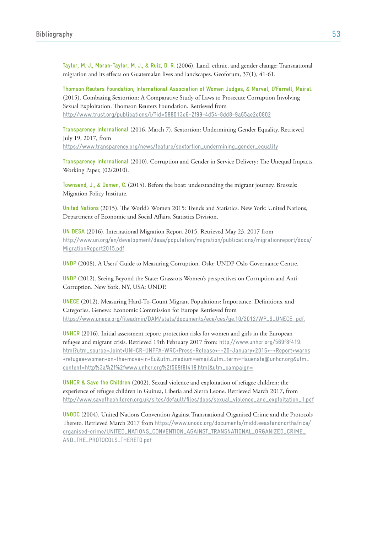**Taylor, M. J., Moran-Taylor, M. J., & Ruiz, D. R.** (2006). Land, ethnic, and gender change: Transnational migration and its effects on Guatemalan lives and landscapes. Geoforum, 37(1), 41-61.

**Thomson Reuters Foundation, International Association of Women Judges, & Marval, O'Farrell, Mairal.** (2015). Combating Sextortion: A Comparative Study of Laws to Prosecute Corruption Involving Sexual Exploitation. Thomson Reuters Foundation. Retrieved from http://www.trust.org/publications/i/?id=588013e6-2f99-4d54-8dd8-9a65ae2e0802

**Transparency International** (2016, March 7). Sextortion: Undermining Gender Equality. Retrieved July 19, 2017, from https://www.transparency.org/news/feature/sextortion\_undermining\_gender\_equality

**Transparency International** (2010). Corruption and Gender in Service Delivery: The Unequal Impacts. Working Paper, (02/2010).

**Townsend, J., & Oomen, C.** (2015). Before the boat: understanding the migrant journey. Brussels: Migration Policy Institute.

**United Nations** (2015). The World's Women 2015: Trends and Statistics. New York: United Nations, Department of Economic and Social Affairs, Statistics Division.

**UN DESA** (2016). International Migration Report 2015. Retrieved May 23, 2017 from [http://www.un.org/en/development/desa/population/migration/publications/migrationreport/docs/](http://www.un.org/en/development/desa/population/migration/publications/migrationreport/docs/MigrationReport2015.pdf) MigrationReport2015.pdf

**UNDP** (2008). A Users' Guide to Measuring Corruption. Oslo: UNDP Oslo Governance Centre.

**UNDP** (2012). Seeing Beyond the State: Grassrots Women's perspectives on Corruption and Anti-Corruption. New York, NY, USA: UNDP.

**UNECE** (2012). Measuring Hard-To-Count Migrant Populations: Importance, Definitions, and Categories. Geneva: Economic Commission for Europe Retrieved from https://www.unece.org/fileadmin/DAM/stats/documents/ece/ces/ge.10/2012/WP\_9\_UNECE. pdf.

**UNHCR** (2016). Initial assessment report: protection risks for women and girls in the European refugee and migrant crisis. Retrieved 19th February 2017 from: http://www.unhcr.org/569f8f419. [html?utm\\_source=Joint+UNHCR-UNFPA-WRC+Press+Release+-+20+January+2016+-+Report+warns](http://www.unhcr.org/569f8f419.html?utm_source=Joint+UNHCR-UNFPA-WRC+Press+Release+-+20+January+2016+-+Report+warns+refugee+women+on+the+move+in+Eu&utm_medium=email&utm_term=Hauenste@unhcr.org&utm_content=http%3a%2f%2fwww.unhcr.org%2f569f8f419.html&utm_campaign=) +refugee+women+on+the+move+in+Eu&utm\_medium=email&utm\_term=Hauenste@unhcr.org&utm\_ content=http%3a%2f%2fwww.unhcr.org%2f569f8f419.html&utm\_campaign=

**UNHCR & Save the Children** (2002). Sexual violence and exploitation of refugee children: the experience of refugee children in Guinea, Liberia and Sierra Leone. Retrieved March 2017, from http://www.savethechildren.org.uk/sites/default/files/docs/sexual\_violence\_and\_exploitation\_1.pdf

**UNODC** (2004). United Nations Convention Against Transnational Organised Crime and the Protocols Thereto. Retrieved March 2017 from https://www.unodc.org/documents/middleeastandnorthafrica/ [organised-crime/UNITED\\_NATIONS\\_CONVENTION\\_AGAINST\\_TRANSNATIONAL\\_ORGANIZED\\_CRIME\\_](https://www.unodc.org/documents/middleeastandnorthafrica/organised-crime/UNITED_NATIONS_CONVENTION_AGAINST_TRANSNATIONAL_ORGANIZED_CRIME_AND_THE_PROTOCOLS_THERETO.pdf) AND\_THE\_PROTOCOLS\_THERETO.pdf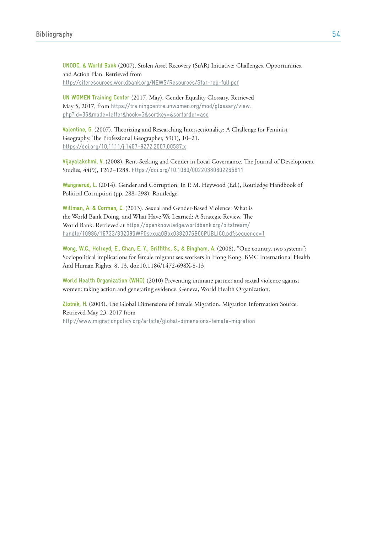**UNODC, & World Bank** (2007). Stolen Asset Recovery (StAR) Initiative: Challenges, Opportunities, and Action Plan. Retrieved from http://siteresources.worldbank.org/NEWS/Resources/Star-rep-full.pdf

**UN WOMEN Training Center** (2017, May). Gender Equality Glossary. Retrieved May 5, 2017, from https://trainingcentre.unwomen.org/mod/glossary/view. [php?id=36&mode=letter&hook=G&sortkey=&sortorder=asc](https://trainingcentre.unwomen.org/mod/glossary/view.php?id=36&mode=letter&hook=G&sortkey=&sortorder=asc)

**Valentine, G.** (2007). Theorizing and Researching Intersectionality: A Challenge for Feminist Geography. The Professional Geographer, 59(1), 10–21. https://doi.org/10.1111/j.1467-9272.2007.00587.x

**Vijayalakshmi, V.** (2008). Rent-Seeking and Gender in Local Governance. The Journal of Development Studies, 44(9), 1262–1288. https://doi.org/10.1080/00220380802265611

**Wängnerud, L.** (2014). Gender and Corruption. In P. M. Heywood (Ed.), Routledge Handbook of Political Corruption (pp. 288–298). Routledge.

**Willman, A. & Corman, C.** (2013). Sexual and Gender-Based Violence: What is the World Bank Doing, and What Have We Learned: A Strategic Review. The World Bank. Retrieved at https://openknowledge.worldbank.org/bitstream/ [handle/10986/16733/832090WP0sexua0Box0382076B00PUBLIC0.pdf;sequence=1](https://openknowledge.worldbank.org/bitstream/handle/10986/16733/832090WP0sexua0Box0382076B00PUBLIC0.pdf;sequence=1)

**Wong, W.C., Holroyd, E., Chan, E. Y., Griffiths, S., & Bingham, A.** (2008). "One country, two systems": Sociopolitical implications for female migrant sex workers in Hong Kong. BMC International Health And Human Rights, 8, 13. doi:10.1186/1472-698X-8-13

**World Health Organization (WHO)** (2010) Preventing intimate partner and sexual violence against women: taking action and generating evidence. Geneva, World Health Organization.

**Zlotnik, H.** (2003). The Global Dimensions of Female Migration. Migration Information Source. Retrieved May 23, 2017 from http://www.migrationpolicy.org/article/global-dimensions-female-migration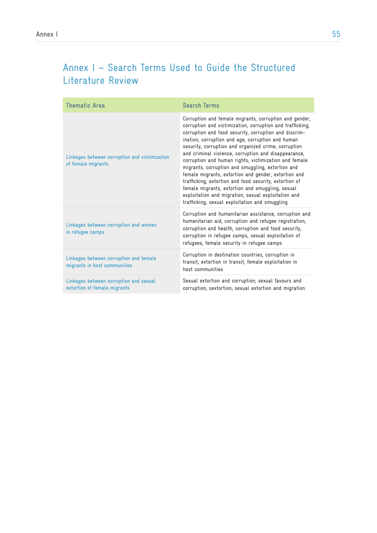# Annex I – Search Terms Used to Guide the Structured Literature Review

| <b>Thematic Area</b>                                                   | <b>Search Terms</b>                                                                                                                                                                                                                                                                                                                                                                                                                                                                                                                                                                                                                                                                                                                            |
|------------------------------------------------------------------------|------------------------------------------------------------------------------------------------------------------------------------------------------------------------------------------------------------------------------------------------------------------------------------------------------------------------------------------------------------------------------------------------------------------------------------------------------------------------------------------------------------------------------------------------------------------------------------------------------------------------------------------------------------------------------------------------------------------------------------------------|
| Linkages between corruption and victimization<br>of female migrants    | Corruption and female migrants, corruption and gender,<br>corruption and victimization, corruption and trafficking,<br>corruption and food security, corruption and discrim-<br>ination, corruption and age, corruption and human<br>security, corruption and organized crime, corruption<br>and criminal violence, corruption and disappearance,<br>corruption and human rights, victimization and female<br>migrants, corruption and smuggling, extortion and<br>female migrants, extortion and gender, extortion and<br>trafficking, extortion and food security, extortion of<br>female migrants, extortion and smuggling, sexual<br>exploitation and migration, sexual exploitation and<br>trafficking, sexual exploitation and smuggling |
| Linkages between corruption and women<br>in refugee camps              | Corruption and humanitarian assistance, corruption and<br>humanitarian aid, corruption and refugee registration,<br>corruption and health, corruption and food security,<br>corruption in refugee camps, sexual exploitation of<br>refugees, female security in refugee camps                                                                                                                                                                                                                                                                                                                                                                                                                                                                  |
| Linkages between corruption and female<br>migrants in host communities | Corruption in destination countries, corruption in<br>transit, extortion in transit, female exploitation in<br>host communities                                                                                                                                                                                                                                                                                                                                                                                                                                                                                                                                                                                                                |
| Linkages between corruption and sexual<br>extortion of female migrants | Sexual extortion and corruption; sexual favours and<br>corruption; sextortion; sexual extortion and migration.                                                                                                                                                                                                                                                                                                                                                                                                                                                                                                                                                                                                                                 |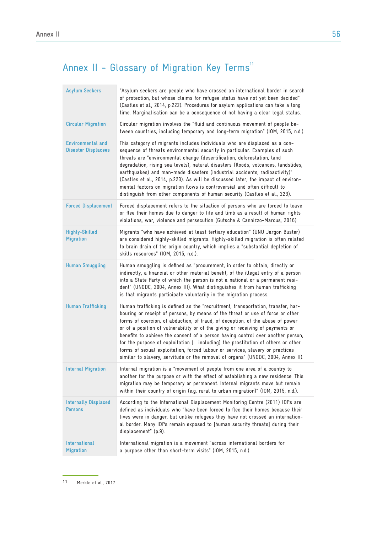# Annex II - Glossary of Migration Key Terms<sup>11</sup>

| <b>Asylum Seekers</b>                                  | "Asylum seekers are people who have crossed an international border in search<br>of protection, but whose claims for refugee status have not yet been decided"<br>(Castles et al., 2014, p.222). Procedures for asylum applications can take a long<br>time. Marginalisation can be a consequence of not having a clear legal status.                                                                                                                                                                                                                                                                                                                                              |
|--------------------------------------------------------|------------------------------------------------------------------------------------------------------------------------------------------------------------------------------------------------------------------------------------------------------------------------------------------------------------------------------------------------------------------------------------------------------------------------------------------------------------------------------------------------------------------------------------------------------------------------------------------------------------------------------------------------------------------------------------|
| <b>Circular Migration</b>                              | Circular migration involves the "fluid and continuous movement of people be-<br>tween countries, including temporary and long-term migration" (IOM, 2015, n.d.).                                                                                                                                                                                                                                                                                                                                                                                                                                                                                                                   |
| <b>Environmental and</b><br><b>Disaster Displacees</b> | This category of migrants includes individuals who are displaced as a con-<br>sequence of threats environmental security in particular. Examples of such<br>threats are "environmental change (desertification, deforestation, land<br>degradation, rising sea levels), natural disasters (floods, volcanoes, landslides,<br>earthquakes) and man-made disasters (industrial accidents, radioactivity)"<br>(Castles et al., 2014, p.223). As will be discussed later, the impact of environ-<br>mental factors on migration flows is controversial and often difficult to<br>distinguish from other components of human security (Castles et al., 223).                            |
| <b>Forced Displacement</b>                             | Forced displacement refers to the situation of persons who are forced to leave<br>or flee their homes due to danger to life and limb as a result of human rights<br>violations, war, violence and persecution (Gutsche & Cannizzo-Marcus, 2016)                                                                                                                                                                                                                                                                                                                                                                                                                                    |
| <b>Highly-Skilled</b><br><b>Migration</b>              | Migrants "who have achieved at least tertiary education" (UNU Jargon Buster)<br>are considered highly-skilled migrants. Highly-skilled migration is often related<br>to brain drain of the origin country, which implies a "substantial depletion of<br>skills resources" (IOM, 2015, n.d.).                                                                                                                                                                                                                                                                                                                                                                                       |
| <b>Human Smuggling</b>                                 | Human smuggling is defined as "procurement, in order to obtain, directly or<br>indirectly, a financial or other material benefit, of the illegal entry of a person<br>into a State Party of which the person is not a national or a permanent resi-<br>dent" (UNODC, 2004, Annex III). What distinguishes it from human trafficking<br>is that migrants participate voluntarily in the migration process.                                                                                                                                                                                                                                                                          |
| <b>Human Trafficking</b>                               | Human trafficking is defined as the "recruitment, transportation, transfer, har-<br>bouring or receipt of persons, by means of the threat or use of force or other<br>forms of coercion, of abduction, of fraud, of deception, of the abuse of power<br>or of a position of vulnerability or of the giving or receiving of payments or<br>benefits to achieve the consent of a person having control over another person,<br>for the purpose of exploitation [ including] the prostitution of others or other<br>forms of sexual exploitation, forced labour or services, slavery or practices<br>similar to slavery, servitude or the removal of organs" (UNODC, 2004, Annex II). |
| <b>Internal Migration</b>                              | Internal migration is a "movement of people from one area of a country to<br>another for the purpose or with the effect of establishing a new residence. This<br>migration may be temporary or permanent. Internal migrants move but remain<br>within their country of origin (e.g. rural to urban migration)" (IOM, 2015, n.d.).                                                                                                                                                                                                                                                                                                                                                  |
| <b>Internally Displaced</b><br><b>Persons</b>          | According to the International Displacement Monitoring Centre (2011) IDPs are<br>defined as individuals who "have been forced to flee their homes because their<br>lives were in danger, but unlike refugees they have not crossed an internation-<br>al border. Many IDPs remain exposed to [human security threats] during their<br>displacement" (p.9).                                                                                                                                                                                                                                                                                                                         |
| International<br><b>Migration</b>                      | International migration is a movement "across international borders for<br>a purpose other than short-term visits" (IOM, 2015, n.d.).                                                                                                                                                                                                                                                                                                                                                                                                                                                                                                                                              |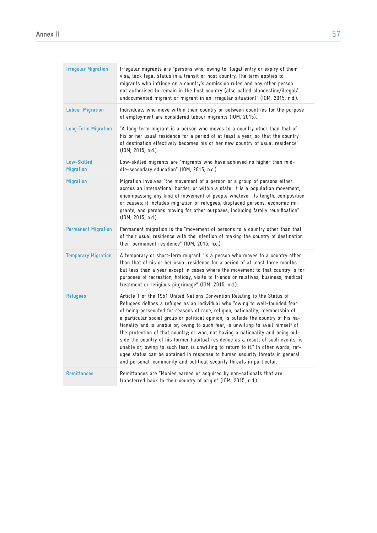| <b>Irregular Migration</b> | Irregular migrants are "persons who, owing to illegal entry or expiry of their<br>visa, lack legal status in a transit or host country. The term applies to<br>migrants who infringe on a country's admission rules and any other person<br>not authorised to remain in the host country (also called clandestine/illegal/<br>undocumented migrant or migrant in an irregular situation)" (IOM, 2015, n.d.).                                                                                                                                                                                                                                                                                                                                                                                                                             |
|----------------------------|------------------------------------------------------------------------------------------------------------------------------------------------------------------------------------------------------------------------------------------------------------------------------------------------------------------------------------------------------------------------------------------------------------------------------------------------------------------------------------------------------------------------------------------------------------------------------------------------------------------------------------------------------------------------------------------------------------------------------------------------------------------------------------------------------------------------------------------|
| <b>Labour Migration</b>    | Individuals who move within their country or between countries for the purpose<br>of employment are considered labour migrants (IOM, 2015).                                                                                                                                                                                                                                                                                                                                                                                                                                                                                                                                                                                                                                                                                              |
| <b>Long-Term Migration</b> | "A long-term migrant is a person who moves to a country other than that of<br>his or her usual residence for a period of at least a year, so that the country<br>of destination effectively becomes his or her new country of usual residence"<br>(IOM, 2015, n.d.).                                                                                                                                                                                                                                                                                                                                                                                                                                                                                                                                                                     |
| Low-Skilled<br>Migration   | Low-skilled migrants are "migrants who have achieved no higher than mid-<br>dle-secondary education" (IOM, 2015, n.d.).                                                                                                                                                                                                                                                                                                                                                                                                                                                                                                                                                                                                                                                                                                                  |
| <b>Migration</b>           | Migration involves "the movement of a person or a group of persons either<br>across an international border, or within a state. It is a population movement,<br>encompassing any kind of movement of people whatever its length, composition<br>or causes; it includes migration of refugees, displaced persons, economic mi-<br>grants, and persons moving for other purposes, including family reunification"<br>(IOM, 2015, n.d.).                                                                                                                                                                                                                                                                                                                                                                                                    |
| <b>Permanent Migration</b> | Permanent migration is the "movement of persons to a country other than that<br>of their usual residence with the intention of making the country of destination<br>their permanent residence" (IOM, 2015, n.d.)                                                                                                                                                                                                                                                                                                                                                                                                                                                                                                                                                                                                                         |
| <b>Temporary Migration</b> | A temporary or short-term migrant "is a person who moves to a country other<br>than that of his or her usual residence for a period of at least three months<br>but less than a year except in cases where the movement to that country is for<br>purposes of recreation, holiday, visits to friends or relatives, business, medical<br>treatment or religious pilgrimage" (IOM, 2015, n.d.).                                                                                                                                                                                                                                                                                                                                                                                                                                            |
| <b>Refugees</b>            | Article 1 of the 1951 United Nations Convention Relating to the Status of<br>Refugees defines a refugee as an individual who "owing to well-founded fear<br>of being persecuted for reasons of race, religion, nationality, membership of<br>a particular social group or political opinion, is outside the country of his na-<br>tionality and is unable or, owing to such fear, is unwilling to avail himself of<br>the protection of that country; or who, not having a nationality and being out-<br>side the country of his former habitual residence as a result of such events, is<br>unable or, owing to such fear, is unwilling to return to it." In other words, ref-<br>ugee status can be obtained in response to human security threats in general<br>and personal, community and political security threats in particular. |
| <b>Remittances</b>         | Remittances are "Monies earned or acquired by non-nationals that are<br>transferred back to their country of origin" (IOM, 2015, n.d.).                                                                                                                                                                                                                                                                                                                                                                                                                                                                                                                                                                                                                                                                                                  |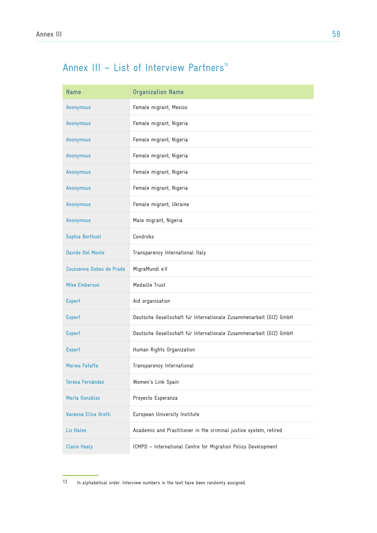# Annex III - List of Interview Partners<sup>12</sup>

| <b>Name</b>              | <b>Organization Name</b>                                           |
|--------------------------|--------------------------------------------------------------------|
| Anonymous                | Female migrant, Mexico                                             |
| Anonymous                | Female migrant, Nigeria                                            |
| Anonymous                | Female migrant, Nigeria                                            |
| Anonymous                | Female migrant, Nigeria                                            |
| Anonymous                | Female migrant, Nigeria                                            |
| Anonymous                | Female migrant, Nigeria                                            |
| Anonymous                | Female migrant, Ukraine                                            |
| Anonymous                | Male migrant, Nigeria                                              |
| Sophia Berthuet          | Condrobs                                                           |
| <b>Davide Del Monte</b>  | Transparency International Italy                                   |
| Zsuzsanna Dobos de Prada | MigraMundi e.V                                                     |
| <b>Mike Emberson</b>     | Medaille Trust                                                     |
| <b>Expert</b>            | Aid organisation                                                   |
| <b>Expert</b>            | Deutsche Gesellschaft für Internationale Zusammenarbeit (GIZ) GmbH |
| <b>Expert</b>            | Deutsche Gesellschaft für Internationale Zusammenarbeit (GIZ) GmbH |
| <b>Expert</b>            | Human Rights Organization                                          |
| Marwa Fatafta            | Transparency International                                         |
| Teresa Fernández         | Women's Link Spain                                                 |
| Marta González           | Proyecto Esperanza                                                 |
| Vanessa Elisa Grotti     | European University Institute                                      |
| Liz Hales                | Academic and Practitioner in the criminal justice system, retired  |
| <b>Claire Healy</b>      | ICMPD - International Centre for Migration Policy Development      |

<sup>12</sup> In alphabetical order. Interview numbers in the text have been randomly assigned.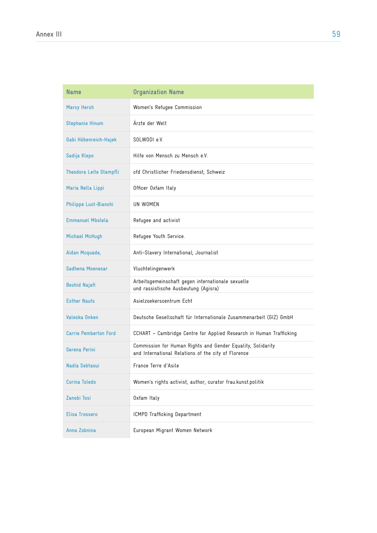| <b>Name</b>                  | <b>Organization Name</b>                                                                                           |
|------------------------------|--------------------------------------------------------------------------------------------------------------------|
| <b>Marcy Hersh</b>           | Women's Refugee Commission                                                                                         |
| <b>Stephanie Hinum</b>       | Ärzte der Welt                                                                                                     |
| Gabi Höbenreich-Hajek        | SOLWODI e.V.                                                                                                       |
| Sadija Klepo                 | Hilfe von Mensch zu Mensch e.V.                                                                                    |
| Theodora Leite Stampfli      | cfd Christlicher Friedensdienst, Schweiz                                                                           |
| Maria Nella Lippi            | Officer Oxfam Italy                                                                                                |
| Philippe Lust-Bianchi        | UN WOMEN                                                                                                           |
| <b>Emmanuel Mbolela</b>      | Refugee and activist                                                                                               |
| <b>Michael McHugh</b>        | Refugee Youth Service.                                                                                             |
| Aidan Mcquade,               | Anti-Slavery International; Journalist                                                                             |
| Sadhena Moenesar             | Vluchtelingenwerk                                                                                                  |
| <b>Beshid Najafi</b>         | Arbeitsgemeinschaft gegen internationale sexuelle<br>und rassistische Ausbeutung (Agisra)                          |
| <b>Esther Nauts</b>          | Asielzoekerscentrum Echt                                                                                           |
| Valeska Onken                | Deutsche Gesellschaft für Internationale Zusammenarbeit (GIZ) GmbH                                                 |
| <b>Carrie Pemberton Ford</b> | CCHART - Cambridge Centre for Applied Research in Human Trafficking                                                |
| Serena Perini                | Commission for Human Rights and Gender Equality, Solidarity<br>and International Relations of the city of Florence |
| Nadia Sebtaoui               | France Terre d'Asile                                                                                               |
| <b>Corina Toledo</b>         | Women's rights activist, author, curator frau.kunst.politik                                                        |
| Zanobi Tosi                  | Oxfam Italy                                                                                                        |
| <b>Elisa Trossero</b>        | ICMPD Trafficking Department                                                                                       |
| Anna Zobnina                 | European Migrant Women Network                                                                                     |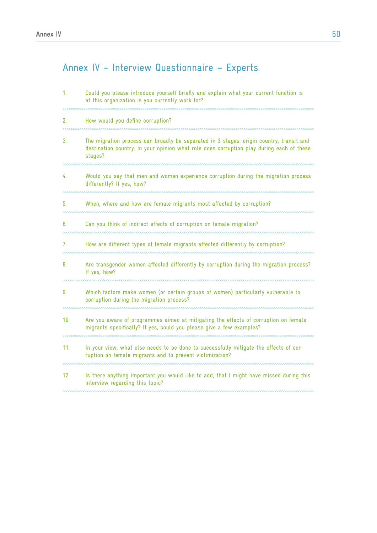# Annex IV - Interview Questionnaire – Experts

| 1.  | Could you please introduce yourself briefly and explain what your current function is<br>at this organization is you currently work for?                                                       |
|-----|------------------------------------------------------------------------------------------------------------------------------------------------------------------------------------------------|
| 2.  | How would you define corruption?                                                                                                                                                               |
| 3.  | The migration process can broadly be separated in 3 stages: origin country, transit and<br>destination country. In your opinion what role does corruption play during each of these<br>stages? |
| 4.  | Would you say that men and women experience corruption during the migration process<br>differently? If yes, how?                                                                               |
| 5.  | When, where and how are female migrants most affected by corruption?                                                                                                                           |
| 6.  | Can you think of indirect effects of corruption on female migration?                                                                                                                           |
| 7.  | How are different types of female migrants affected differently by corruption?                                                                                                                 |
| 8.  | Are transgender women affected differently by corruption during the migration process?<br>If yes, how?                                                                                         |
| 9.  | Which factors make women (or certain groups of women) particularly vulnerable to<br>corruption during the migration process?                                                                   |
| 10. | Are you aware of programmes aimed at mitigating the effects of corruption on female<br>migrants specifically? If yes, could you please give a few examples?                                    |
| 11. | In your view, what else needs to be done to successfully mitigate the effects of cor-<br>ruption on female migrants and to prevent victimization?                                              |
| 12. | Is there anything important you would like to add, that I might have missed during this<br>interview regarding this topic?                                                                     |
|     |                                                                                                                                                                                                |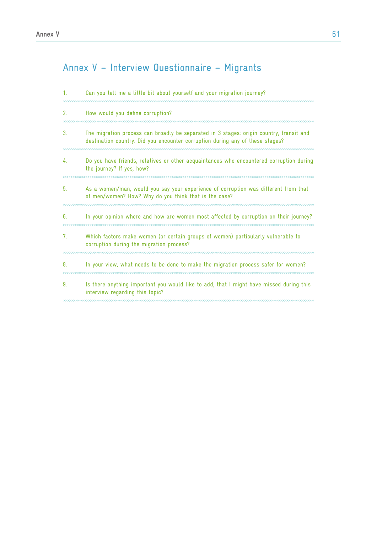# Annex V – Interview Questionnaire – Migrants

|    | Can you tell me a little bit about yourself and your migration journey?                                                                                                  |
|----|--------------------------------------------------------------------------------------------------------------------------------------------------------------------------|
| 2. | How would you define corruption?                                                                                                                                         |
| 3. | The migration process can broadly be separated in 3 stages: origin country, transit and<br>destination country. Did you encounter corruption during any of these stages? |
| 4. | Do you have friends, relatives or other acquaintances who encountered corruption during<br>the journey? If yes, how?                                                     |
| 5. | As a women/man, would you say your experience of corruption was different from that<br>of men/women? How? Why do you think that is the case?                             |
| 6. | In your opinion where and how are women most affected by corruption on their journey?                                                                                    |
| 7. | Which factors make women (or certain groups of women) particularly vulnerable to<br>corruption during the migration process?                                             |
| 8. | In your view, what needs to be done to make the migration process safer for women?                                                                                       |
| 9. | Is there anything important you would like to add, that I might have missed during this<br>interview regarding this topic?                                               |
|    |                                                                                                                                                                          |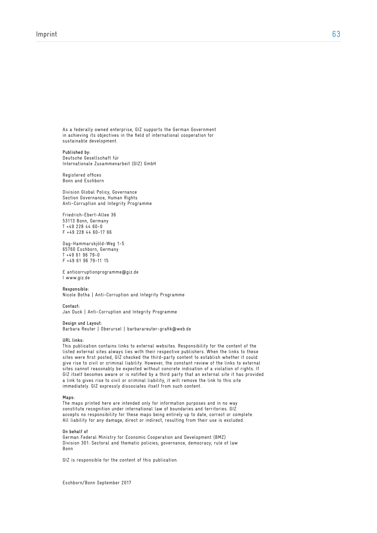As a federally owned enterprise, GIZ supports the German Government in achieving its objectives in the field of international cooperation for sustainable development.

**Published by:**  Deutsche Gesellschaft für Internationale Zusammenarbeit (GIZ) GmbH

Registered offices Bonn and Eschborn

Division Global Policy, Governance Section Governance, Human Rights Anti-Corruption and Integrity Programme

Friedrich-Ebert-Allee 36 53113 Bonn, Germany T +49 228 44 60-0 F +49 228 44 60-17 66

Dag-Hammarskjöld-Weg 1-5 65760 Eschborn, Germany T +49 61 96 79-0 F +49 61 96 79-11 15

E anticorruptionprogramme@giz.de I www.giz.de

**Responsible:** Nicole Botha | Anti-Corruption and Integrity Programme

**Contact:** Jan Duck | Anti-Corruption and Integrity Programme

**Design und Layout:** 

Barbara Reuter | Oberursel | barbarareuter-grafik@web.de

**URL links:**

This publication contains links to external websites. Responsibility for the content of the listed external sites always lies with their respective publishers. When the links to these sites were first posted, GIZ checked the third-party content to establish whether it could give rise to civil or criminal liability. However, the constant review of the links to external sites cannot reasonably be expected without concrete indication of a violation of rights. If GIZ itself becomes aware or is notified by a third party that an external site it has provided a link to gives rise to civil or criminal liability, it will remove the link to this site immediately. GIZ expressly dissociates itself from such content.

#### **Maps:**

The maps printed here are intended only for information purposes and in no way constitute recognition under international law of boundaries and territories. GIZ accepts no responsibility for these maps being entirely up to date, correct or complete. All liability for any damage, direct or indirect, resulting from their use is excluded.

#### **On behalf of**

German Federal Ministry for Economic Cooperation and Development (BMZ) Division 301: Sectoral and thematic policies; governance, democracy; rule of law Bonn

GIZ is responsible for the content of this publication.

Eschborn/Bonn September 2017